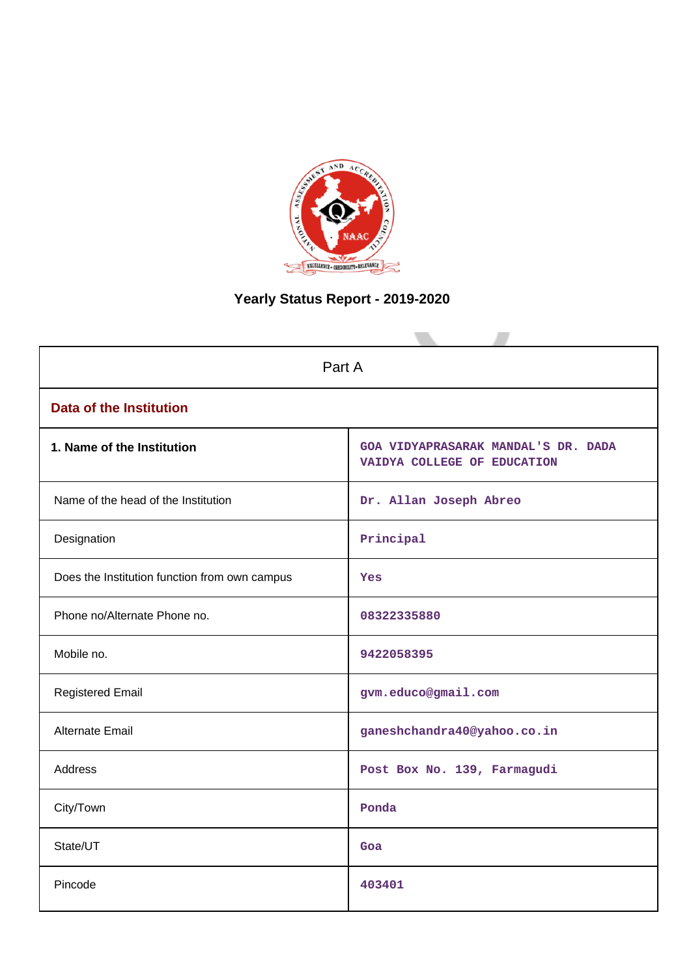

# **Yearly Status Report - 2019-2020**

| Part A                                        |                                                                    |  |  |  |
|-----------------------------------------------|--------------------------------------------------------------------|--|--|--|
| <b>Data of the Institution</b>                |                                                                    |  |  |  |
| 1. Name of the Institution                    | GOA VIDYAPRASARAK MANDAL'S DR. DADA<br>VAIDYA COLLEGE OF EDUCATION |  |  |  |
| Name of the head of the Institution           | Dr. Allan Joseph Abreo                                             |  |  |  |
| Designation                                   | Principal                                                          |  |  |  |
| Does the Institution function from own campus | Yes                                                                |  |  |  |
| Phone no/Alternate Phone no.                  | 08322335880                                                        |  |  |  |
| Mobile no.                                    | 9422058395                                                         |  |  |  |
| <b>Registered Email</b>                       | gvm.educo@gmail.com                                                |  |  |  |
| Alternate Email                               | ganeshchandra40@yahoo.co.in                                        |  |  |  |
| <b>Address</b>                                | Post Box No. 139, Farmagudi                                        |  |  |  |
| City/Town                                     | Ponda                                                              |  |  |  |
| State/UT                                      | Goa                                                                |  |  |  |
| Pincode                                       | 403401                                                             |  |  |  |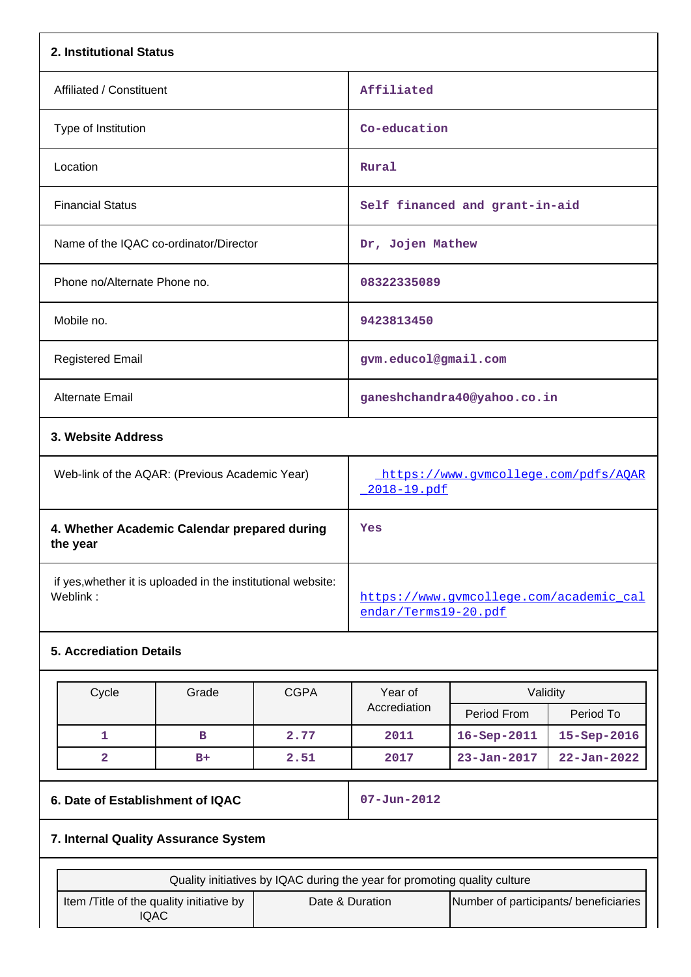| 2. Institutional Status                                                  |                                                     |
|--------------------------------------------------------------------------|-----------------------------------------------------|
| Affiliated / Constituent                                                 | Affiliated                                          |
| Type of Institution                                                      | Co-education                                        |
| Location                                                                 | Rural                                               |
| <b>Financial Status</b>                                                  | Self financed and grant-in-aid                      |
| Name of the IQAC co-ordinator/Director                                   | Dr, Jojen Mathew                                    |
| Phone no/Alternate Phone no.                                             | 08322335089                                         |
| Mobile no.                                                               | 9423813450                                          |
| <b>Registered Email</b>                                                  | gvm.educol@gmail.com                                |
| Alternate Email                                                          | ganeshchandra40@yahoo.co.in                         |
| 3. Website Address                                                       |                                                     |
| Web-link of the AQAR: (Previous Academic Year)                           | https://www.gvmcollege.com/pdfs/AQAR<br>2018-19.pdf |
| 4. Whether Academic Calendar prepared during<br>the year                 | Yes                                                 |
| if yes, whether it is uploaded in the institutional website:<br>Weblink: | https://www.gvmcollege.com/academic cal             |

# **5. Accrediation Details**

| Cycle | Grade | <b>CGPA</b><br>Year of |              | Validity          |                   |
|-------|-------|------------------------|--------------|-------------------|-------------------|
|       |       |                        | Accrediation | Period From       | Period To         |
|       | в     | 2.77                   | 2011         | $16 - Sep-2011$   | $15 - Sep - 2016$ |
|       | $B+$  | 2.51                   | 2017         | $23 - Jan - 2017$ | $22 - Jan - 2022$ |

# **6. Date of Establishment of IQAC 07-Jun-2012**

[endar/Terms19-20.pdf](https://www.gvmcollege.com/academic_calendar/Terms19-20.pdf)

# **7. Internal Quality Assurance System**

| Quality initiatives by IQAC during the year for promoting quality culture |                 |                                       |  |
|---------------------------------------------------------------------------|-----------------|---------------------------------------|--|
| Item / Title of the quality initiative by<br>IQAC                         | Date & Duration | Number of participants/ beneficiaries |  |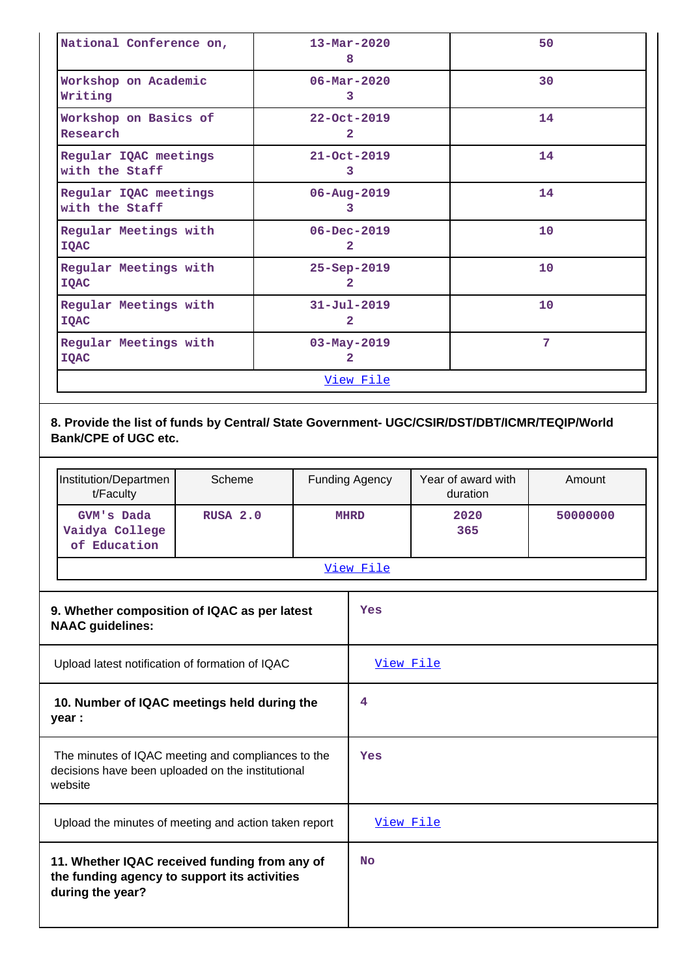| National Conference on,                                               | $13 - \text{Mar} - 2020$<br>8       | 50             |
|-----------------------------------------------------------------------|-------------------------------------|----------------|
| Workshop on Academic<br>Writing                                       | $06 - \text{Mar} - 2020$<br>3       | 30             |
| Workshop on Basics of<br>Research                                     | $22 - Oct - 2019$<br>$\mathbf{2}$   | 14             |
| Regular IQAC meetings<br>with the Staff                               | $21 - Oct - 2019$<br>3              | 14             |
| Regular IQAC meetings<br>$06 - Aug - 2019$<br>with the Staff<br>3     |                                     | 14             |
| Regular Meetings with<br><b>IQAC</b>                                  | $06 - Dec - 2019$<br>$\overline{2}$ | 10             |
| Regular Meetings with<br>25-Sep-2019<br>$\overline{2}$<br><b>IOAC</b> |                                     | 10             |
| Regular Meetings with<br><b>IQAC</b>                                  | $31 - Ju1 - 2019$<br>$\overline{2}$ | 10             |
| Regular Meetings with<br><b>IQAC</b>                                  | $03 - May - 2019$<br>2              | $\overline{7}$ |
|                                                                       | View File                           |                |

# **8. Provide the list of funds by Central/ State Government- UGC/CSIR/DST/DBT/ICMR/TEQIP/World Bank/CPE of UGC etc.**

| Institution/Departmen<br>t/Faculty           | Scheme   | <b>Funding Agency</b> | Year of award with<br>duration | Amount   |
|----------------------------------------------|----------|-----------------------|--------------------------------|----------|
| GVM's Dada<br>Vaidya College<br>of Education | RUSA 2.0 | <b>MHRD</b>           | 2020<br>365                    | 50000000 |
| View File                                    |          |                       |                                |          |

| 9. Whether composition of IQAC as per latest<br><b>NAAC</b> guidelines:                                            | Yes              |
|--------------------------------------------------------------------------------------------------------------------|------------------|
| Upload latest notification of formation of IQAC                                                                    | <u>View File</u> |
| 10. Number of IQAC meetings held during the<br>year :                                                              | 4                |
| The minutes of IQAC meeting and compliances to the<br>decisions have been uploaded on the institutional<br>website | Yes              |
| Upload the minutes of meeting and action taken report                                                              | View File        |
| 11. Whether IQAC received funding from any of<br>the funding agency to support its activities<br>during the year?  | <b>No</b>        |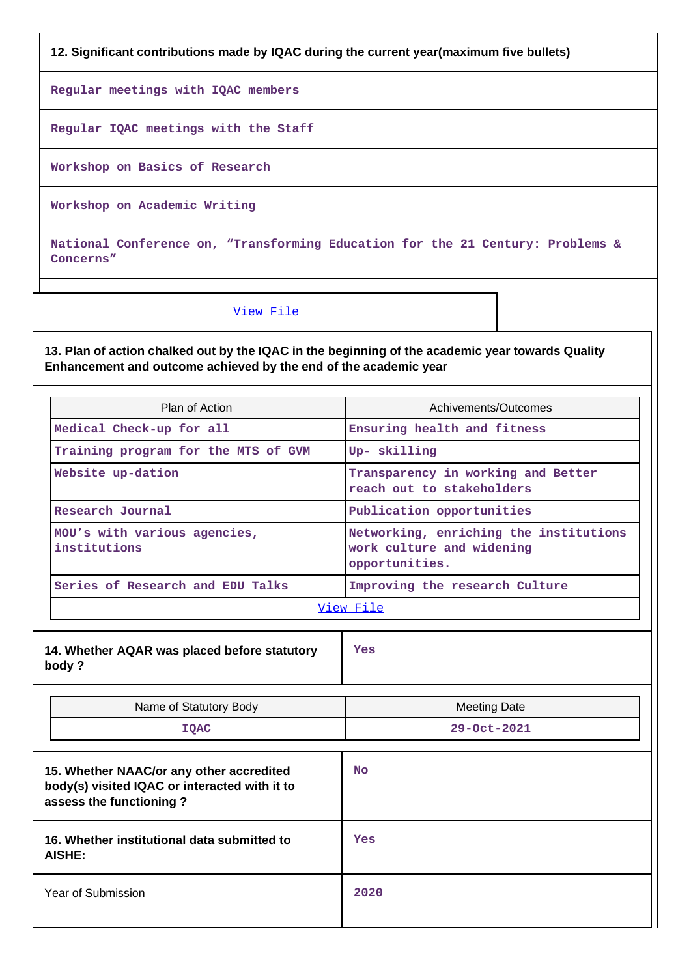**12. Significant contributions made by IQAC during the current year(maximum five bullets)**

**Regular meetings with IQAC members**

**Regular IQAC meetings with the Staff**

**Workshop on Basics of Research**

**Workshop on Academic Writing**

**National Conference on, "Transforming Education for the 21 Century: Problems & Concerns"**

[View File](https://assessmentonline.naac.gov.in/public/Postacc/Contribution/13738_Contribution.xlsx)

**13. Plan of action chalked out by the IQAC in the beginning of the academic year towards Quality Enhancement and outcome achieved by the end of the academic year**

| Plan of Action                                                                                                       | Achivements/Outcomes                                                                  |  |
|----------------------------------------------------------------------------------------------------------------------|---------------------------------------------------------------------------------------|--|
| Medical Check-up for all                                                                                             | Ensuring health and fitness                                                           |  |
| Training program for the MTS of GVM                                                                                  | Up- skilling                                                                          |  |
| Website up-dation                                                                                                    | Transparency in working and Better<br>reach out to stakeholders                       |  |
| Research Journal                                                                                                     | Publication opportunities                                                             |  |
| MOU's with various agencies,<br>institutions                                                                         | Networking, enriching the institutions<br>work culture and widening<br>opportunities. |  |
| Series of Research and EDU Talks                                                                                     | Improving the research Culture                                                        |  |
|                                                                                                                      | View File                                                                             |  |
| 14. Whether AQAR was placed before statutory<br>body?                                                                | Yes                                                                                   |  |
| Name of Statutory Body                                                                                               | <b>Meeting Date</b>                                                                   |  |
| <b>IQAC</b>                                                                                                          | 29-Oct-2021                                                                           |  |
| 15. Whether NAAC/or any other accredited<br>body(s) visited IQAC or interacted with it to<br>assess the functioning? | <b>No</b>                                                                             |  |

| abboos are randaoming.                                |      |
|-------------------------------------------------------|------|
| 16. Whether institutional data submitted to<br>AISHE: | Yes  |
| Year of Submission                                    | 2020 |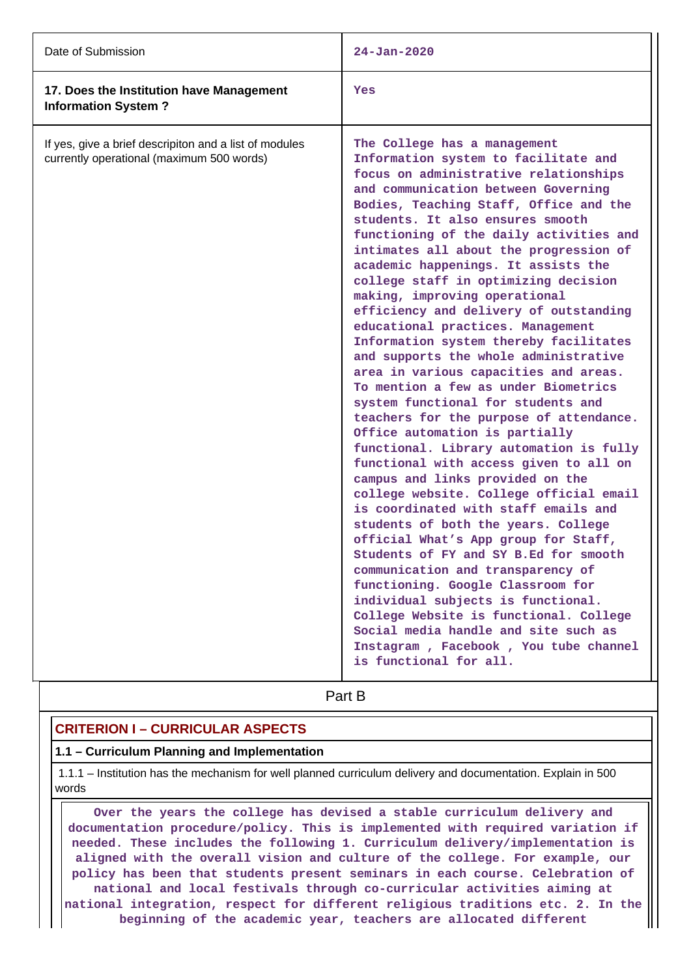| Date of Submission                                                                                  | $24 - Jan - 2020$                                                                                                                                                                                                                                                                                                                                                                                                                                                                                                                                                                                                                                                                                                                                                                                                                                                                                                                                                                                                                                                                                                                                                                                                                                                                                                                                                                                                      |
|-----------------------------------------------------------------------------------------------------|------------------------------------------------------------------------------------------------------------------------------------------------------------------------------------------------------------------------------------------------------------------------------------------------------------------------------------------------------------------------------------------------------------------------------------------------------------------------------------------------------------------------------------------------------------------------------------------------------------------------------------------------------------------------------------------------------------------------------------------------------------------------------------------------------------------------------------------------------------------------------------------------------------------------------------------------------------------------------------------------------------------------------------------------------------------------------------------------------------------------------------------------------------------------------------------------------------------------------------------------------------------------------------------------------------------------------------------------------------------------------------------------------------------------|
| 17. Does the Institution have Management<br><b>Information System?</b>                              | <b>Yes</b>                                                                                                                                                                                                                                                                                                                                                                                                                                                                                                                                                                                                                                                                                                                                                                                                                                                                                                                                                                                                                                                                                                                                                                                                                                                                                                                                                                                                             |
| If yes, give a brief descripiton and a list of modules<br>currently operational (maximum 500 words) | The College has a management<br>Information system to facilitate and<br>focus on administrative relationships<br>and communication between Governing<br>Bodies, Teaching Staff, Office and the<br>students. It also ensures smooth<br>functioning of the daily activities and<br>intimates all about the progression of<br>academic happenings. It assists the<br>college staff in optimizing decision<br>making, improving operational<br>efficiency and delivery of outstanding<br>educational practices. Management<br>Information system thereby facilitates<br>and supports the whole administrative<br>area in various capacities and areas.<br>To mention a few as under Biometrics<br>system functional for students and<br>teachers for the purpose of attendance.<br>Office automation is partially<br>functional. Library automation is fully<br>functional with access given to all on<br>campus and links provided on the<br>college website. College official email<br>is coordinated with staff emails and<br>students of both the years. College<br>official What's App group for Staff,<br>Students of FY and SY B.Ed for smooth<br>communication and transparency of<br>functioning. Google Classroom for<br>individual subjects is functional.<br>College Website is functional. College<br>Social media handle and site such as<br>Instagram, Facebook, You tube channel<br>is functional for all. |

# **Part B**

# **CRITERION I – CURRICULAR ASPECTS**

#### **1.1 – Curriculum Planning and Implementation**

 1.1.1 – Institution has the mechanism for well planned curriculum delivery and documentation. Explain in 500 words

 **Over the years the college has devised a stable curriculum delivery and documentation procedure/policy. This is implemented with required variation if needed. These includes the following 1. Curriculum delivery/implementation is aligned with the overall vision and culture of the college. For example, our policy has been that students present seminars in each course. Celebration of national and local festivals through co-curricular activities aiming at national integration, respect for different religious traditions etc. 2. In the beginning of the academic year, teachers are allocated different**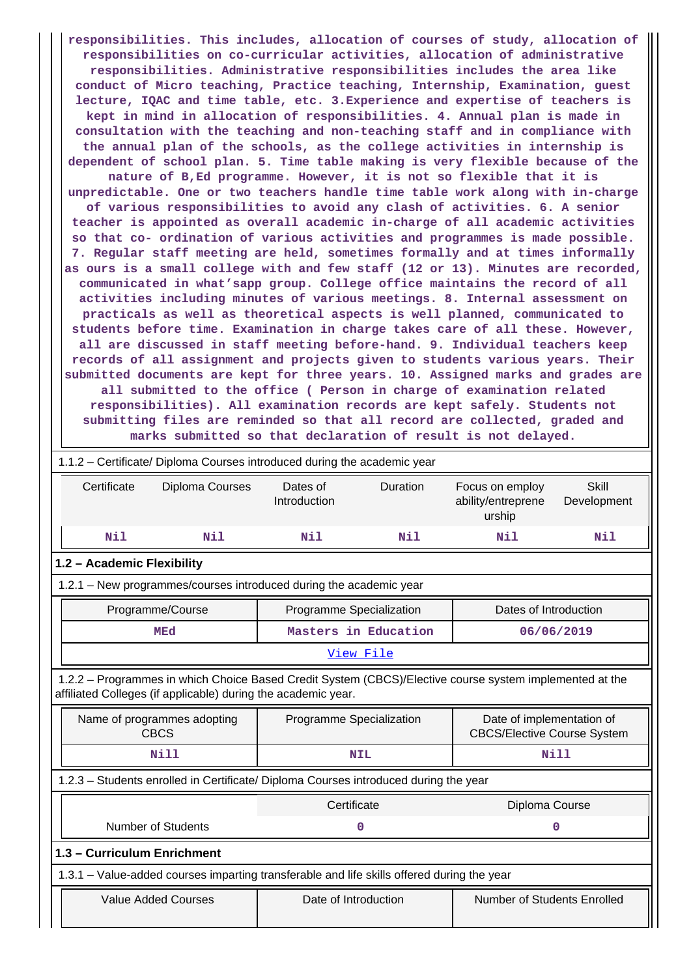**responsibilities. This includes, allocation of courses of study, allocation of responsibilities on co-curricular activities, allocation of administrative responsibilities. Administrative responsibilities includes the area like conduct of Micro teaching, Practice teaching, Internship, Examination, guest lecture, IQAC and time table, etc. 3.Experience and expertise of teachers is kept in mind in allocation of responsibilities. 4. Annual plan is made in consultation with the teaching and non-teaching staff and in compliance with the annual plan of the schools, as the college activities in internship is dependent of school plan. 5. Time table making is very flexible because of the nature of B,Ed programme. However, it is not so flexible that it is unpredictable. One or two teachers handle time table work along with in-charge of various responsibilities to avoid any clash of activities. 6. A senior teacher is appointed as overall academic in-charge of all academic activities so that co- ordination of various activities and programmes is made possible. 7. Regular staff meeting are held, sometimes formally and at times informally as ours is a small college with and few staff (12 or 13). Minutes are recorded, communicated in what'sapp group. College office maintains the record of all activities including minutes of various meetings. 8. Internal assessment on practicals as well as theoretical aspects is well planned, communicated to students before time. Examination in charge takes care of all these. However, all are discussed in staff meeting before-hand. 9. Individual teachers keep records of all assignment and projects given to students various years. Their submitted documents are kept for three years. 10. Assigned marks and grades are all submitted to the office ( Person in charge of examination related responsibilities). All examination records are kept safely. Students not submitting files are reminded so that all record are collected, graded and marks submitted so that declaration of result is not delayed.**

| 1.1.2 - Certificate/ Diploma Courses introduced during the academic year                                                                                                 |                                                                                            |                                                     |                      |                                                 |                             |
|--------------------------------------------------------------------------------------------------------------------------------------------------------------------------|--------------------------------------------------------------------------------------------|-----------------------------------------------------|----------------------|-------------------------------------------------|-----------------------------|
| Certificate                                                                                                                                                              | Diploma Courses                                                                            | Dates of<br>Introduction                            | Duration             | Focus on employ<br>ability/entreprene<br>urship | <b>Skill</b><br>Development |
| Nil                                                                                                                                                                      | Nil                                                                                        | Nil                                                 | Nil                  | Nil                                             | Nil                         |
| 1.2 - Academic Flexibility                                                                                                                                               |                                                                                            |                                                     |                      |                                                 |                             |
|                                                                                                                                                                          | 1.2.1 - New programmes/courses introduced during the academic year                         |                                                     |                      |                                                 |                             |
|                                                                                                                                                                          | Programme/Course                                                                           | Programme Specialization                            |                      | Dates of Introduction                           |                             |
|                                                                                                                                                                          | <b>MEd</b>                                                                                 |                                                     | Masters in Education |                                                 | 06/06/2019                  |
|                                                                                                                                                                          |                                                                                            |                                                     | View File            |                                                 |                             |
| 1.2.2 - Programmes in which Choice Based Credit System (CBCS)/Elective course system implemented at the<br>affiliated Colleges (if applicable) during the academic year. |                                                                                            |                                                     |                      |                                                 |                             |
| Date of implementation of<br>Name of programmes adopting<br>Programme Specialization<br>CBCS<br><b>CBCS/Elective Course System</b>                                       |                                                                                            |                                                     |                      |                                                 |                             |
|                                                                                                                                                                          | <b>Nill</b>                                                                                | <b>Nill</b><br><b>NIL</b>                           |                      |                                                 |                             |
| 1.2.3 - Students enrolled in Certificate/ Diploma Courses introduced during the year                                                                                     |                                                                                            |                                                     |                      |                                                 |                             |
| Certificate<br>Diploma Course                                                                                                                                            |                                                                                            |                                                     |                      |                                                 |                             |
|                                                                                                                                                                          | <b>Number of Students</b>                                                                  | 0<br>0                                              |                      |                                                 |                             |
| 1.3 - Curriculum Enrichment                                                                                                                                              |                                                                                            |                                                     |                      |                                                 |                             |
|                                                                                                                                                                          | 1.3.1 - Value-added courses imparting transferable and life skills offered during the year |                                                     |                      |                                                 |                             |
|                                                                                                                                                                          | <b>Value Added Courses</b>                                                                 | Date of Introduction<br>Number of Students Enrolled |                      |                                                 |                             |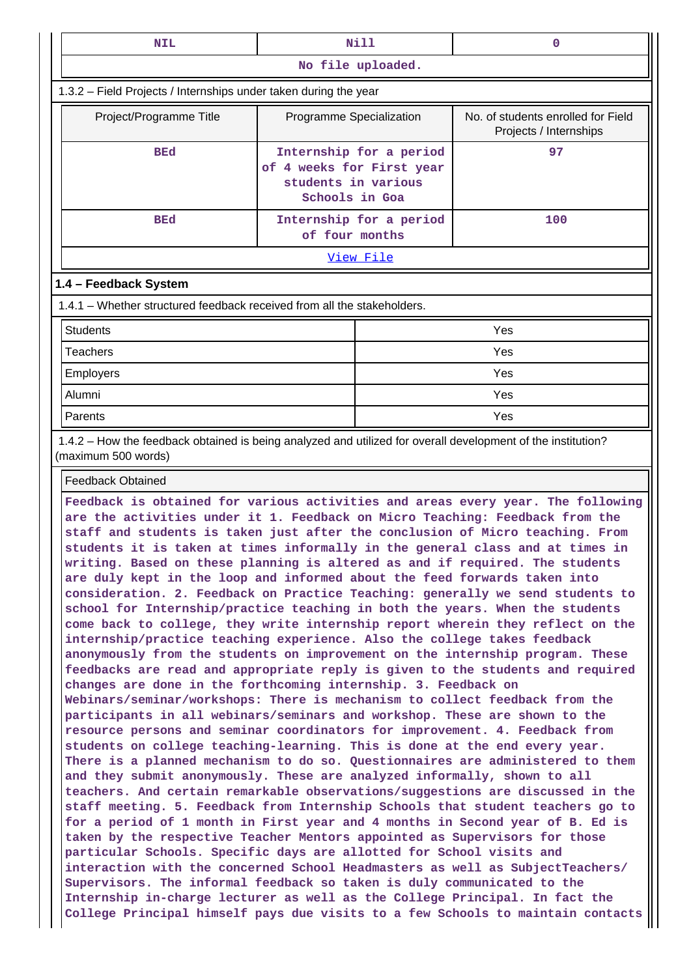| <b>NIL</b>                                                                                                                          | Nill                                                                                     |                         | $\mathbf{0}$ |  |  |
|-------------------------------------------------------------------------------------------------------------------------------------|------------------------------------------------------------------------------------------|-------------------------|--------------|--|--|
| No file uploaded.                                                                                                                   |                                                                                          |                         |              |  |  |
| 1.3.2 - Field Projects / Internships under taken during the year                                                                    |                                                                                          |                         |              |  |  |
| Project/Programme Title                                                                                                             | No. of students enrolled for Field<br>Programme Specialization<br>Projects / Internships |                         |              |  |  |
| <b>BEd</b>                                                                                                                          | of 4 weeks for First year<br>students in various<br>Schools in Goa                       | Internship for a period | 97           |  |  |
| <b>BEd</b>                                                                                                                          | of four months                                                                           | Internship for a period | 100          |  |  |
| <u>View File</u>                                                                                                                    |                                                                                          |                         |              |  |  |
| 1.4 - Feedback System                                                                                                               |                                                                                          |                         |              |  |  |
| 1.4.1 - Whether structured feedback received from all the stakeholders.                                                             |                                                                                          |                         |              |  |  |
| <b>Students</b><br>Yes                                                                                                              |                                                                                          |                         |              |  |  |
| <b>Teachers</b>                                                                                                                     |                                                                                          |                         | Yes          |  |  |
| Employers                                                                                                                           |                                                                                          |                         | Yes          |  |  |
| Alumni                                                                                                                              |                                                                                          | Yes                     |              |  |  |
| Yes<br>Parents                                                                                                                      |                                                                                          |                         |              |  |  |
| 1.4.2 - How the feedback obtained is being analyzed and utilized for overall development of the institution?<br>(maximum 500 words) |                                                                                          |                         |              |  |  |
| <b>Feedback Obtained</b>                                                                                                            |                                                                                          |                         |              |  |  |
| Feedback is obtained for various activities and areas every year. The following                                                     |                                                                                          |                         |              |  |  |

**are the activities under it 1. Feedback on Micro Teaching: Feedback from the staff and students is taken just after the conclusion of Micro teaching. From students it is taken at times informally in the general class and at times in writing. Based on these planning is altered as and if required. The students are duly kept in the loop and informed about the feed forwards taken into consideration. 2. Feedback on Practice Teaching: generally we send students to school for Internship/practice teaching in both the years. When the students come back to college, they write internship report wherein they reflect on the internship/practice teaching experience. Also the college takes feedback anonymously from the students on improvement on the internship program. These feedbacks are read and appropriate reply is given to the students and required changes are done in the forthcoming internship. 3. Feedback on Webinars/seminar/workshops: There is mechanism to collect feedback from the participants in all webinars/seminars and workshop. These are shown to the resource persons and seminar coordinators for improvement. 4. Feedback from students on college teaching-learning. This is done at the end every year. There is a planned mechanism to do so. Questionnaires are administered to them and they submit anonymously. These are analyzed informally, shown to all teachers. And certain remarkable observations/suggestions are discussed in the staff meeting. 5. Feedback from Internship Schools that student teachers go to for a period of 1 month in First year and 4 months in Second year of B. Ed is taken by the respective Teacher Mentors appointed as Supervisors for those particular Schools. Specific days are allotted for School visits and interaction with the concerned School Headmasters as well as SubjectTeachers/ Supervisors. The informal feedback so taken is duly communicated to the Internship in-charge lecturer as well as the College Principal. In fact the College Principal himself pays due visits to a few Schools to maintain contacts**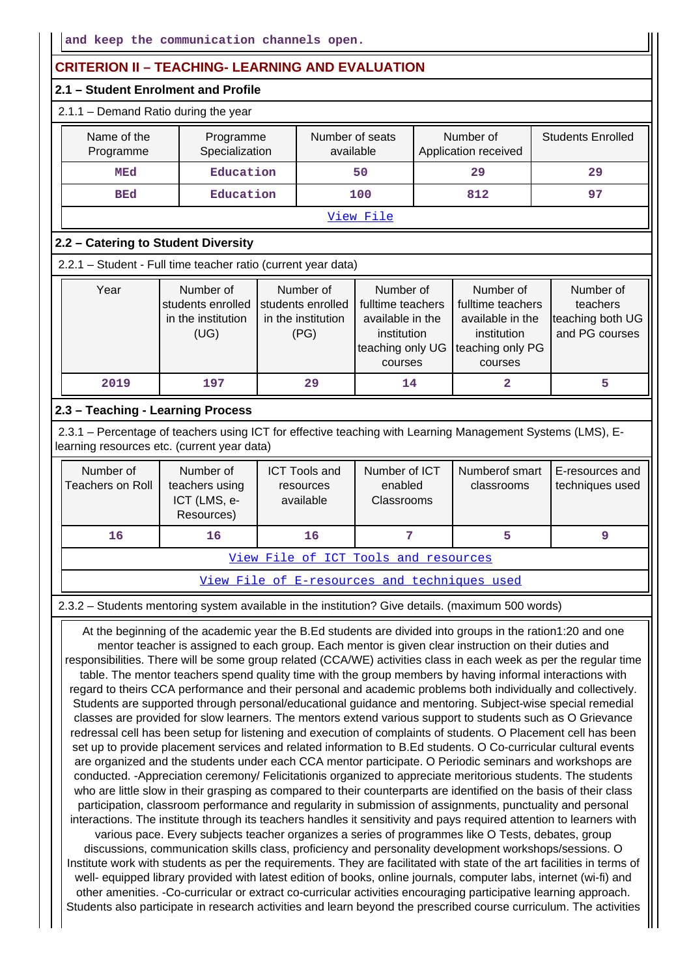# **CRITERION II – TEACHING- LEARNING AND EVALUATION**

# **2.1 – Student Enrolment and Profile**

#### 2.1.1 – Demand Ratio during the year

| Name of the<br>Programme                    | Programme<br>Specialization | Number of seats<br>available | Number of<br>Application received | <b>Students Enrolled</b> |  |  |
|---------------------------------------------|-----------------------------|------------------------------|-----------------------------------|--------------------------|--|--|
| MEd                                         | Education                   | 50                           | 29                                | 29                       |  |  |
| Education<br><b>BEd</b><br>97<br>812<br>100 |                             |                              |                                   |                          |  |  |
| View File                                   |                             |                              |                                   |                          |  |  |

# **2.2 – Catering to Student Diversity**

2.2.1 – Student - Full time teacher ratio (current year data)

| Year | Number of          | Number of          | Number of                          | Number of         | Number of        |
|------|--------------------|--------------------|------------------------------------|-------------------|------------------|
|      | students enrolled  | students enrolled  | fulltime teachers                  | fulltime teachers | teachers         |
|      | in the institution | in the institution | available in the                   | available in the  | teaching both UG |
|      | (UG)               | (PG)               | institution                        | institution       | and PG courses   |
|      |                    |                    | teaching only UG Iteaching only PG |                   |                  |
|      |                    |                    | courses                            | courses           |                  |
| 2019 | 197                | 29                 | 14                                 |                   |                  |

## **2.3 – Teaching - Learning Process**

 2.3.1 – Percentage of teachers using ICT for effective teaching with Learning Management Systems (LMS), Elearning resources etc. (current year data)

| Number of<br>Teachers on Roll | Number of<br>teachers using<br>ICT (LMS, e-<br>Resources) | <b>ICT Tools and</b><br>resources<br>available | Number of ICT<br>enabled<br><b>Classrooms</b> | Numberof smart<br>classrooms | E-resources and<br>techniques used |
|-------------------------------|-----------------------------------------------------------|------------------------------------------------|-----------------------------------------------|------------------------------|------------------------------------|
| 16                            | 16                                                        | 16                                             |                                               |                              |                                    |

[View File of ICT Tools and resources](https://assessmentonline.naac.gov.in/public/Postacc/ict_tools/13738_ict_tools_1638767243.xlsx)

[View File of E-resources and techniques used](https://assessmentonline.naac.gov.in/public/Postacc/e_resource/13738_e_resource_1638767336.xlsx)

2.3.2 – Students mentoring system available in the institution? Give details. (maximum 500 words)

 At the beginning of the academic year the B.Ed students are divided into groups in the ration1:20 and one mentor teacher is assigned to each group. Each mentor is given clear instruction on their duties and responsibilities. There will be some group related (CCA/WE) activities class in each week as per the regular time table. The mentor teachers spend quality time with the group members by having informal interactions with regard to theirs CCA performance and their personal and academic problems both individually and collectively. Students are supported through personal/educational guidance and mentoring. Subject-wise special remedial classes are provided for slow learners. The mentors extend various support to students such as O Grievance redressal cell has been setup for listening and execution of complaints of students. O Placement cell has been set up to provide placement services and related information to B.Ed students. O Co-curricular cultural events are organized and the students under each CCA mentor participate. O Periodic seminars and workshops are conducted. -Appreciation ceremony/ Felicitationis organized to appreciate meritorious students. The students who are little slow in their grasping as compared to their counterparts are identified on the basis of their class participation, classroom performance and regularity in submission of assignments, punctuality and personal interactions. The institute through its teachers handles it sensitivity and pays required attention to learners with various pace. Every subjects teacher organizes a series of programmes like O Tests, debates, group discussions, communication skills class, proficiency and personality development workshops/sessions. O Institute work with students as per the requirements. They are facilitated with state of the art facilities in terms of well- equipped library provided with latest edition of books, online journals, computer labs, internet (wi-fi) and other amenities. -Co-curricular or extract co-curricular activities encouraging participative learning approach. Students also participate in research activities and learn beyond the prescribed course curriculum. The activities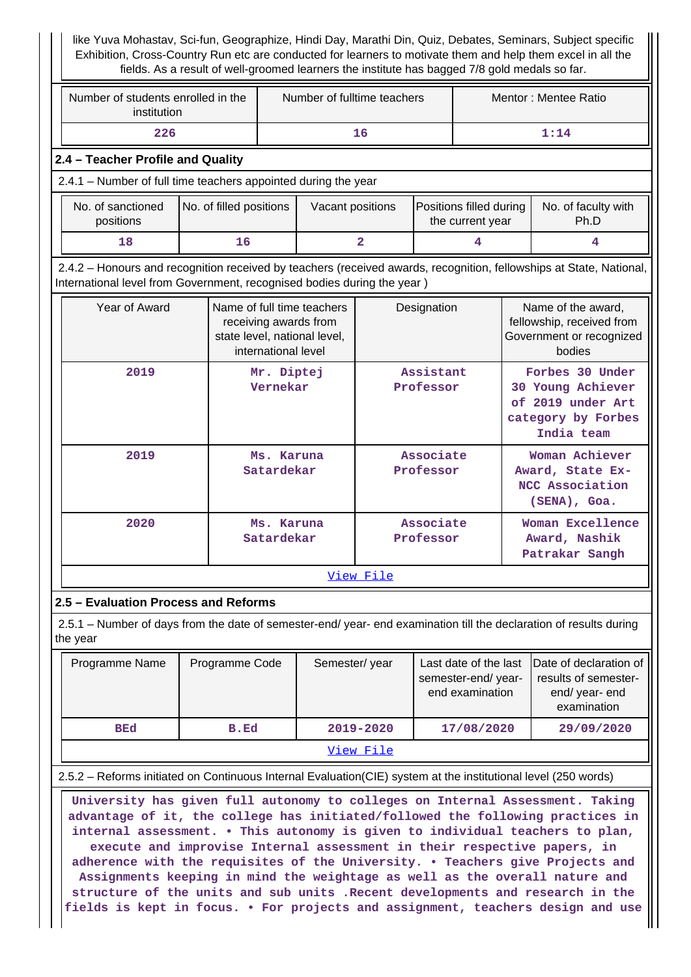like Yuva Mohastav, Sci-fun, Geographize, Hindi Day, Marathi Din, Quiz, Debates, Seminars, Subject specific Exhibition, Cross-Country Run etc are conducted for learners to motivate them and help them excel in all the fields. As a result of well-groomed learners the institute has bagged 7/8 gold medals so far.

| Number of students enrolled in the<br>institution                                                                                                                                              |                                                                                                                             | Number of fulltime teachers                                                                                |  |                         | Mentor: Mentee Ratio   |                                             |      |                                                                                               |
|------------------------------------------------------------------------------------------------------------------------------------------------------------------------------------------------|-----------------------------------------------------------------------------------------------------------------------------|------------------------------------------------------------------------------------------------------------|--|-------------------------|------------------------|---------------------------------------------|------|-----------------------------------------------------------------------------------------------|
| 226                                                                                                                                                                                            |                                                                                                                             | 16                                                                                                         |  |                         |                        |                                             | 1:14 |                                                                                               |
|                                                                                                                                                                                                | 2.4 - Teacher Profile and Quality                                                                                           |                                                                                                            |  |                         |                        |                                             |      |                                                                                               |
| 2.4.1 - Number of full time teachers appointed during the year                                                                                                                                 |                                                                                                                             |                                                                                                            |  |                         |                        |                                             |      |                                                                                               |
| No. of sanctioned<br>positions                                                                                                                                                                 | No. of filled positions<br>Vacant positions                                                                                 |                                                                                                            |  |                         |                        | Positions filled during<br>the current year |      | No. of faculty with<br>Ph.D                                                                   |
| 18                                                                                                                                                                                             | 16                                                                                                                          |                                                                                                            |  | $\overline{\mathbf{2}}$ |                        | 4                                           |      | 4                                                                                             |
| 2.4.2 - Honours and recognition received by teachers (received awards, recognition, fellowships at State, National,<br>International level from Government, recognised bodies during the year) |                                                                                                                             |                                                                                                            |  |                         |                        |                                             |      |                                                                                               |
| Year of Award                                                                                                                                                                                  |                                                                                                                             | Name of full time teachers<br>receiving awards from<br>state level, national level,<br>international level |  |                         | Designation            |                                             |      | Name of the award,<br>fellowship, received from<br>Government or recognized<br>bodies         |
| 2019                                                                                                                                                                                           |                                                                                                                             | Mr. Diptej<br>Vernekar                                                                                     |  |                         | Assistant<br>Professor |                                             |      | Forbes 30 Under<br>30 Young Achiever<br>of 2019 under Art<br>category by Forbes<br>India team |
| 2019                                                                                                                                                                                           | Associate<br>Woman Achiever<br>Ms. Karuna<br>Award, State Ex-<br>Satardekar<br>Professor<br>NCC Association<br>(SENA), Goa. |                                                                                                            |  |                         |                        |                                             |      |                                                                                               |
| 2020                                                                                                                                                                                           | Ms. Karuna<br>Satardekar                                                                                                    |                                                                                                            |  | Associate<br>Professor  |                        |                                             |      | Woman Excellence<br>Award, Nashik<br>Patrakar Sangh                                           |
| View File                                                                                                                                                                                      |                                                                                                                             |                                                                                                            |  |                         |                        |                                             |      |                                                                                               |
|                                                                                                                                                                                                | 2.5 - Evaluation Process and Reforms                                                                                        |                                                                                                            |  |                         |                        |                                             |      |                                                                                               |
| 2.5.1 – Number of days from the date of semester-end/ year- end examination till the declaration of results during<br>the year                                                                 |                                                                                                                             |                                                                                                            |  |                         |                        |                                             |      |                                                                                               |

| Programme Name | Programme Code | Semester/year | Last date of the last<br>semester-end/year-<br>end examination | Date of declaration of<br>results of semester-<br>end/year-end<br>examination |
|----------------|----------------|---------------|----------------------------------------------------------------|-------------------------------------------------------------------------------|
| <b>BEd</b>     | B.Ed           | 2019-2020     | 17/08/2020                                                     | 29/09/2020                                                                    |
|                |                | View File     |                                                                |                                                                               |

2.5.2 – Reforms initiated on Continuous Internal Evaluation(CIE) system at the institutional level (250 words)

 **University has given full autonomy to colleges on Internal Assessment. Taking advantage of it, the college has initiated/followed the following practices in internal assessment. • This autonomy is given to individual teachers to plan, execute and improvise Internal assessment in their respective papers, in adherence with the requisites of the University. • Teachers give Projects and Assignments keeping in mind the weightage as well as the overall nature and structure of the units and sub units .Recent developments and research in the fields is kept in focus. • For projects and assignment, teachers design and use**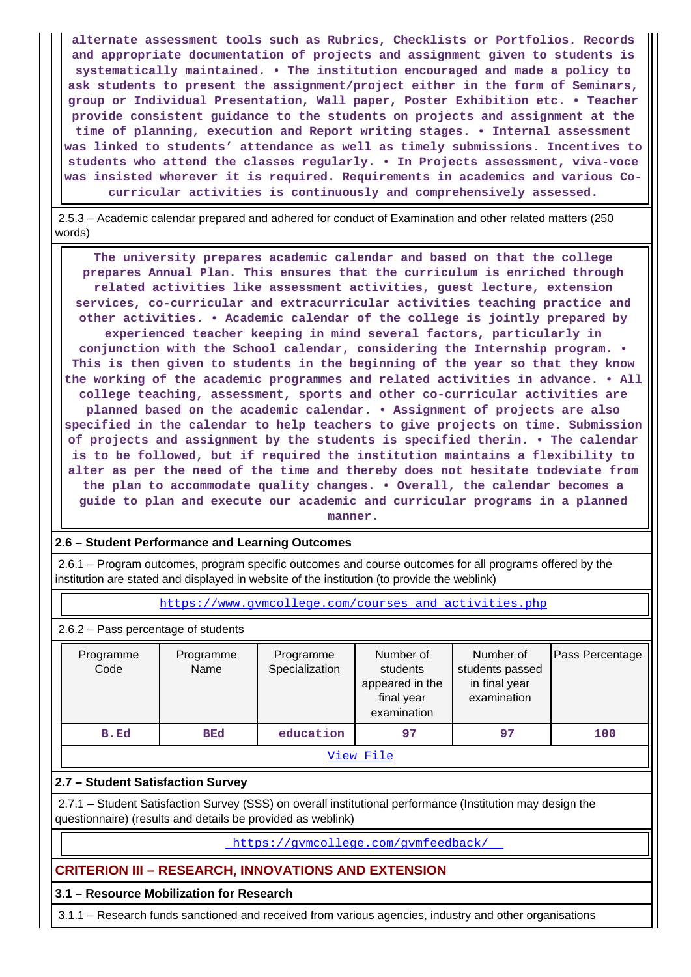**alternate assessment tools such as Rubrics, Checklists or Portfolios. Records and appropriate documentation of projects and assignment given to students is systematically maintained. • The institution encouraged and made a policy to ask students to present the assignment/project either in the form of Seminars, group or Individual Presentation, Wall paper, Poster Exhibition etc. • Teacher provide consistent guidance to the students on projects and assignment at the time of planning, execution and Report writing stages. • Internal assessment was linked to students' attendance as well as timely submissions. Incentives to students who attend the classes regularly. • In Projects assessment, viva-voce was insisted wherever it is required. Requirements in academics and various Cocurricular activities is continuously and comprehensively assessed.**

 2.5.3 – Academic calendar prepared and adhered for conduct of Examination and other related matters (250 words)

 **The university prepares academic calendar and based on that the college prepares Annual Plan. This ensures that the curriculum is enriched through related activities like assessment activities, guest lecture, extension services, co-curricular and extracurricular activities teaching practice and other activities. • Academic calendar of the college is jointly prepared by experienced teacher keeping in mind several factors, particularly in conjunction with the School calendar, considering the Internship program. • This is then given to students in the beginning of the year so that they know the working of the academic programmes and related activities in advance. • All college teaching, assessment, sports and other co-curricular activities are planned based on the academic calendar. • Assignment of projects are also specified in the calendar to help teachers to give projects on time. Submission of projects and assignment by the students is specified therin. • The calendar is to be followed, but if required the institution maintains a flexibility to alter as per the need of the time and thereby does not hesitate todeviate from the plan to accommodate quality changes. • Overall, the calendar becomes a guide to plan and execute our academic and curricular programs in a planned**

**manner.**

#### **2.6 – Student Performance and Learning Outcomes**

 2.6.1 – Program outcomes, program specific outcomes and course outcomes for all programs offered by the institution are stated and displayed in website of the institution (to provide the weblink)

https://www.qvmcollege.com/courses\_and\_activities.php

2.6.2 – Pass percentage of students

| Programme<br>Code | Programme<br>Name                          | Programme<br>Specialization | Number of<br>students<br>appeared in the<br>final year<br>examination | Number of<br>students passed<br>in final year<br>examination | Pass Percentage |  |  |  |  |
|-------------------|--------------------------------------------|-----------------------------|-----------------------------------------------------------------------|--------------------------------------------------------------|-----------------|--|--|--|--|
| B.Ed              | education<br><b>BEd</b><br>97<br>100<br>97 |                             |                                                                       |                                                              |                 |  |  |  |  |
| View File         |                                            |                             |                                                                       |                                                              |                 |  |  |  |  |

#### **2.7 – Student Satisfaction Survey**

 2.7.1 – Student Satisfaction Survey (SSS) on overall institutional performance (Institution may design the questionnaire) (results and details be provided as weblink)

<https://gvmcollege.com/gvmfeedback/>

# **CRITERION III – RESEARCH, INNOVATIONS AND EXTENSION**

#### **3.1 – Resource Mobilization for Research**

3.1.1 – Research funds sanctioned and received from various agencies, industry and other organisations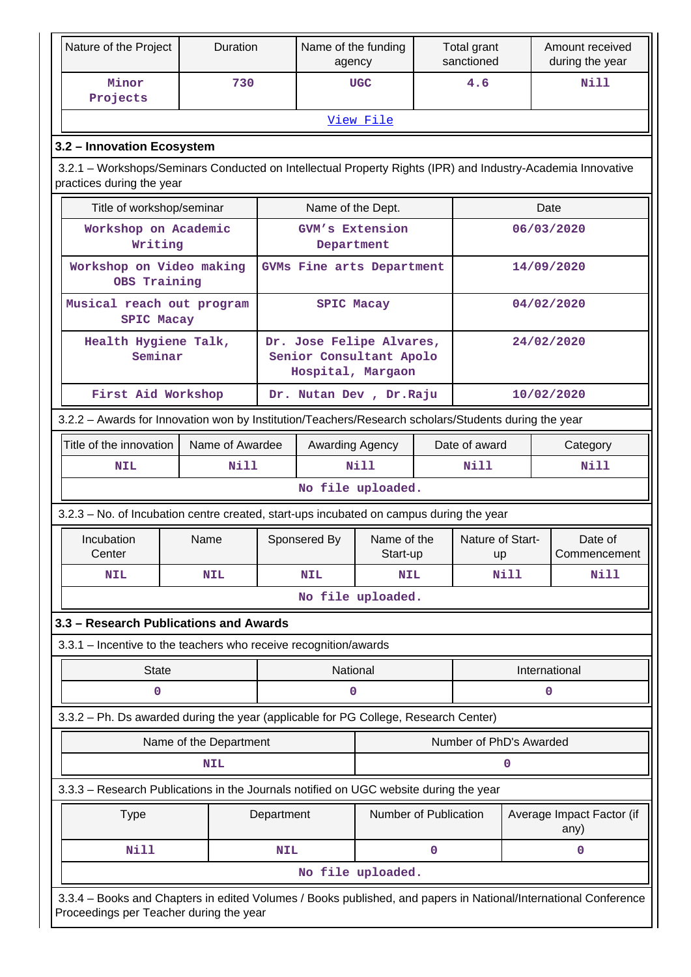| Nature of the Project                                                                                                                    | <b>Duration</b>                 |                                        | Name of the funding<br>agency |                                                                          |             | Total grant<br>sanctioned |      | Amount received<br>during the year |
|------------------------------------------------------------------------------------------------------------------------------------------|---------------------------------|----------------------------------------|-------------------------------|--------------------------------------------------------------------------|-------------|---------------------------|------|------------------------------------|
| Minor<br>Projects                                                                                                                        | 730                             |                                        |                               | <b>UGC</b>                                                               |             | 4.6                       |      | <b>Nill</b>                        |
|                                                                                                                                          |                                 |                                        |                               | View File                                                                |             |                           |      |                                    |
| 3.2 - Innovation Ecosystem                                                                                                               |                                 |                                        |                               |                                                                          |             |                           |      |                                    |
| 3.2.1 – Workshops/Seminars Conducted on Intellectual Property Rights (IPR) and Industry-Academia Innovative<br>practices during the year |                                 |                                        |                               |                                                                          |             |                           |      |                                    |
| Title of workshop/seminar                                                                                                                |                                 |                                        | Name of the Dept.             |                                                                          |             |                           |      | Date                               |
| Workshop on Academic<br>Writing                                                                                                          |                                 |                                        | GVM's Extension<br>Department |                                                                          |             |                           |      | 06/03/2020                         |
| Workshop on Video making<br>OBS Training                                                                                                 |                                 |                                        | GVMs Fine arts Department     |                                                                          |             |                           |      | 14/09/2020                         |
| Musical reach out program<br><b>SPIC Macay</b>                                                                                           |                                 |                                        | <b>SPIC Macay</b>             |                                                                          |             |                           |      | 04/02/2020                         |
|                                                                                                                                          | Health Hygiene Talk,<br>Seminar |                                        |                               | Dr. Jose Felipe Alvares,<br>Senior Consultant Apolo<br>Hospital, Margaon |             |                           |      | 24/02/2020                         |
| First Aid Workshop                                                                                                                       |                                 | Dr. Nutan Dev , Dr. Raju<br>10/02/2020 |                               |                                                                          |             |                           |      |                                    |
| 3.2.2 - Awards for Innovation won by Institution/Teachers/Research scholars/Students during the year                                     |                                 |                                        |                               |                                                                          |             |                           |      |                                    |
| Title of the innovation<br>Name of Awardee<br>Awarding Agency<br>Date of award<br>Category                                               |                                 |                                        |                               |                                                                          |             |                           |      |                                    |
| <b>NIL</b>                                                                                                                               | Nill                            |                                        | Nill                          |                                                                          | Nill        |                           | Nill |                                    |
|                                                                                                                                          |                                 |                                        | No file uploaded.             |                                                                          |             |                           |      |                                    |
| 3.2.3 – No. of Incubation centre created, start-ups incubated on campus during the year                                                  |                                 |                                        |                               |                                                                          |             |                           |      |                                    |
| Incubation<br>Center                                                                                                                     | Name                            |                                        | Sponsered By                  | Name of the<br>Start-up                                                  |             | Nature of Start-<br>up    |      | Date of<br>Commencement            |
| <b>NIL</b>                                                                                                                               | <b>NIL</b>                      |                                        | <b>NIL</b>                    | <b>NIL</b>                                                               | Nill        |                           |      | <b>Nill</b>                        |
|                                                                                                                                          |                                 |                                        |                               | No file uploaded.                                                        |             |                           |      |                                    |
| 3.3 - Research Publications and Awards                                                                                                   |                                 |                                        |                               |                                                                          |             |                           |      |                                    |
| 3.3.1 - Incentive to the teachers who receive recognition/awards                                                                         |                                 |                                        |                               |                                                                          |             |                           |      |                                    |
| <b>State</b>                                                                                                                             |                                 |                                        | National                      |                                                                          |             |                           |      | International                      |
| 0                                                                                                                                        |                                 |                                        | 0                             |                                                                          |             |                           |      | 0                                  |
| 3.3.2 - Ph. Ds awarded during the year (applicable for PG College, Research Center)                                                      |                                 |                                        |                               |                                                                          |             |                           |      |                                    |
|                                                                                                                                          | Name of the Department          |                                        |                               |                                                                          |             | Number of PhD's Awarded   |      |                                    |
|                                                                                                                                          | <b>NIL</b>                      |                                        |                               |                                                                          |             |                           | 0    |                                    |
| 3.3.3 - Research Publications in the Journals notified on UGC website during the year                                                    |                                 |                                        |                               |                                                                          |             |                           |      |                                    |
| <b>Type</b>                                                                                                                              |                                 | Department                             |                               | Number of Publication                                                    |             |                           |      | Average Impact Factor (if<br>any)  |
| <b>Nill</b>                                                                                                                              |                                 | <b>NIL</b>                             |                               |                                                                          | $\mathbf 0$ |                           |      | 0                                  |
|                                                                                                                                          |                                 |                                        | No file uploaded.             |                                                                          |             |                           |      |                                    |
| 3.3.4 - Books and Chapters in edited Volumes / Books published, and papers in National/International Conference                          |                                 |                                        |                               |                                                                          |             |                           |      |                                    |
| Proceedings per Teacher during the year                                                                                                  |                                 |                                        |                               |                                                                          |             |                           |      |                                    |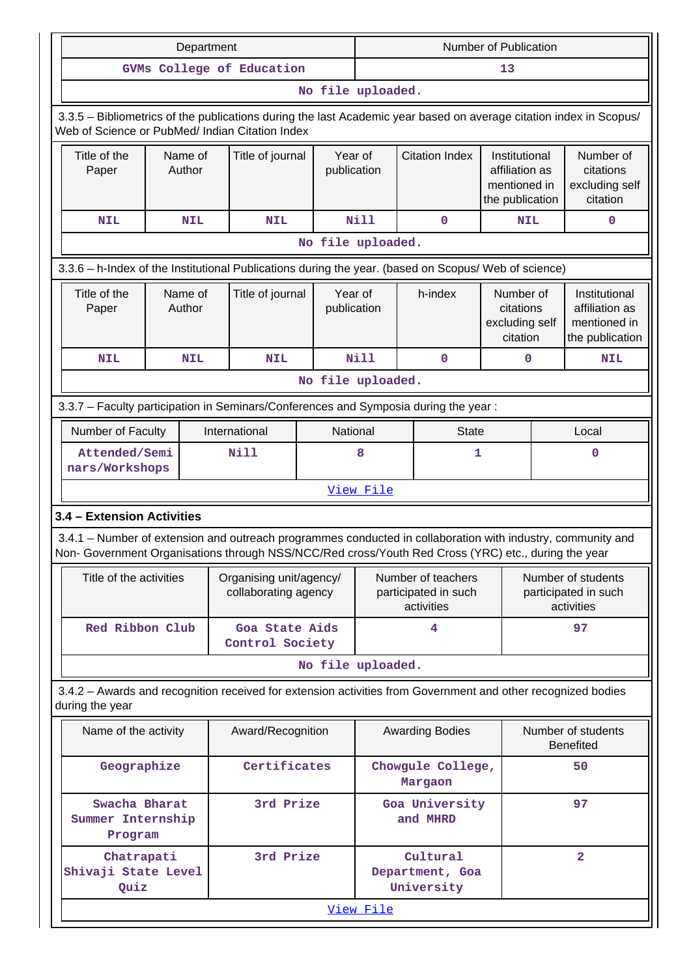| Department                 |                                                                                     |                   |                  |                                                 | Number of Publication                           |                        |                   |                              |                                                                                                              |                                                      |                                                      |                                                                                                                    |
|----------------------------|-------------------------------------------------------------------------------------|-------------------|------------------|-------------------------------------------------|-------------------------------------------------|------------------------|-------------------|------------------------------|--------------------------------------------------------------------------------------------------------------|------------------------------------------------------|------------------------------------------------------|--------------------------------------------------------------------------------------------------------------------|
|                            |                                                                                     |                   |                  | GVMs College of Education                       |                                                 |                        | 13                |                              |                                                                                                              |                                                      |                                                      |                                                                                                                    |
|                            | No file uploaded.                                                                   |                   |                  |                                                 |                                                 |                        |                   |                              |                                                                                                              |                                                      |                                                      |                                                                                                                    |
|                            |                                                                                     |                   |                  | Web of Science or PubMed/ Indian Citation Index |                                                 |                        |                   |                              |                                                                                                              |                                                      |                                                      | 3.3.5 - Bibliometrics of the publications during the last Academic year based on average citation index in Scopus/ |
|                            | Title of the<br>Name of<br>Paper<br>Author                                          |                   | Title of journal |                                                 | Year of<br>publication                          |                        |                   | <b>Citation Index</b>        | Institutional<br>affiliation as<br>mentioned in<br>the publication                                           |                                                      | Number of<br>citations<br>excluding self<br>citation |                                                                                                                    |
| <b>NIL</b>                 |                                                                                     | <b>NIL</b>        |                  | <b>NIL</b>                                      |                                                 |                        | <b>Nill</b>       |                              | 0                                                                                                            | <b>NIL</b>                                           |                                                      | 0                                                                                                                  |
|                            |                                                                                     |                   |                  |                                                 |                                                 |                        | No file uploaded. |                              |                                                                                                              |                                                      |                                                      |                                                                                                                    |
|                            |                                                                                     |                   |                  |                                                 |                                                 |                        |                   |                              | 3.3.6 - h-Index of the Institutional Publications during the year. (based on Scopus/ Web of science)         |                                                      |                                                      |                                                                                                                    |
| Title of the<br>Paper      |                                                                                     | Name of<br>Author |                  | Title of journal                                |                                                 | Year of<br>publication |                   |                              | h-index                                                                                                      | Number of<br>citations<br>excluding self<br>citation |                                                      | Institutional<br>affiliation as<br>mentioned in<br>the publication                                                 |
| <b>NIL</b>                 |                                                                                     | <b>NIL</b>        |                  | <b>NIL</b>                                      |                                                 |                        | <b>Nill</b>       |                              | $\mathbf 0$                                                                                                  | 0                                                    |                                                      | <b>NIL</b>                                                                                                         |
|                            |                                                                                     |                   |                  |                                                 |                                                 |                        | No file uploaded. |                              |                                                                                                              |                                                      |                                                      |                                                                                                                    |
|                            | 3.3.7 - Faculty participation in Seminars/Conferences and Symposia during the year: |                   |                  |                                                 |                                                 |                        |                   |                              |                                                                                                              |                                                      |                                                      |                                                                                                                    |
|                            | Number of Faculty                                                                   |                   |                  | International                                   |                                                 | National               | <b>State</b>      |                              |                                                                                                              | Local                                                |                                                      |                                                                                                                    |
|                            | Attended/Semi<br>nars/Workshops                                                     |                   |                  | Nill                                            | 8                                               |                        |                   | 1                            |                                                                                                              |                                                      | $\mathbf 0$                                          |                                                                                                                    |
|                            |                                                                                     |                   |                  |                                                 |                                                 |                        | View File         |                              |                                                                                                              |                                                      |                                                      |                                                                                                                    |
| 3.4 - Extension Activities |                                                                                     |                   |                  |                                                 |                                                 |                        |                   |                              |                                                                                                              |                                                      |                                                      |                                                                                                                    |
|                            |                                                                                     |                   |                  |                                                 |                                                 |                        |                   |                              | Non- Government Organisations through NSS/NCC/Red cross/Youth Red Cross (YRC) etc., during the year          |                                                      |                                                      | 3.4.1 – Number of extension and outreach programmes conducted in collaboration with industry, community and        |
|                            | Title of the activities                                                             |                   |                  |                                                 | Organising unit/agency/<br>collaborating agency |                        |                   |                              | Number of teachers<br>participated in such<br>activities                                                     |                                                      |                                                      | Number of students<br>participated in such<br>activities                                                           |
|                            | Red Ribbon Club                                                                     |                   |                  | Goa State Aids<br>Control Society               |                                                 |                        |                   |                              | 4                                                                                                            |                                                      |                                                      | 97                                                                                                                 |
|                            |                                                                                     |                   |                  |                                                 |                                                 |                        | No file uploaded. |                              |                                                                                                              |                                                      |                                                      |                                                                                                                    |
| during the year            |                                                                                     |                   |                  |                                                 |                                                 |                        |                   |                              | 3.4.2 - Awards and recognition received for extension activities from Government and other recognized bodies |                                                      |                                                      |                                                                                                                    |
|                            | Name of the activity                                                                |                   |                  | Award/Recognition                               |                                                 |                        |                   |                              | <b>Awarding Bodies</b>                                                                                       |                                                      |                                                      | Number of students<br><b>Benefited</b>                                                                             |
|                            | Geographize                                                                         |                   | Certificates     |                                                 |                                                 |                        |                   | Chowgule College,<br>Margaon |                                                                                                              |                                                      | 50                                                   |                                                                                                                    |
|                            | Swacha Bharat<br>3rd Prize<br>Summer Internship<br>Program                          |                   |                  |                                                 |                                                 |                        |                   | Goa University<br>and MHRD   |                                                                                                              |                                                      | 97                                                   |                                                                                                                    |
| Shivaji State Level        | Chatrapati<br>Quiz                                                                  |                   |                  | 3rd Prize                                       |                                                 |                        |                   |                              | Cultural<br>Department, Goa<br>University                                                                    |                                                      |                                                      | $\overline{\mathbf{2}}$                                                                                            |
|                            |                                                                                     |                   |                  |                                                 |                                                 |                        | View File         |                              |                                                                                                              |                                                      |                                                      |                                                                                                                    |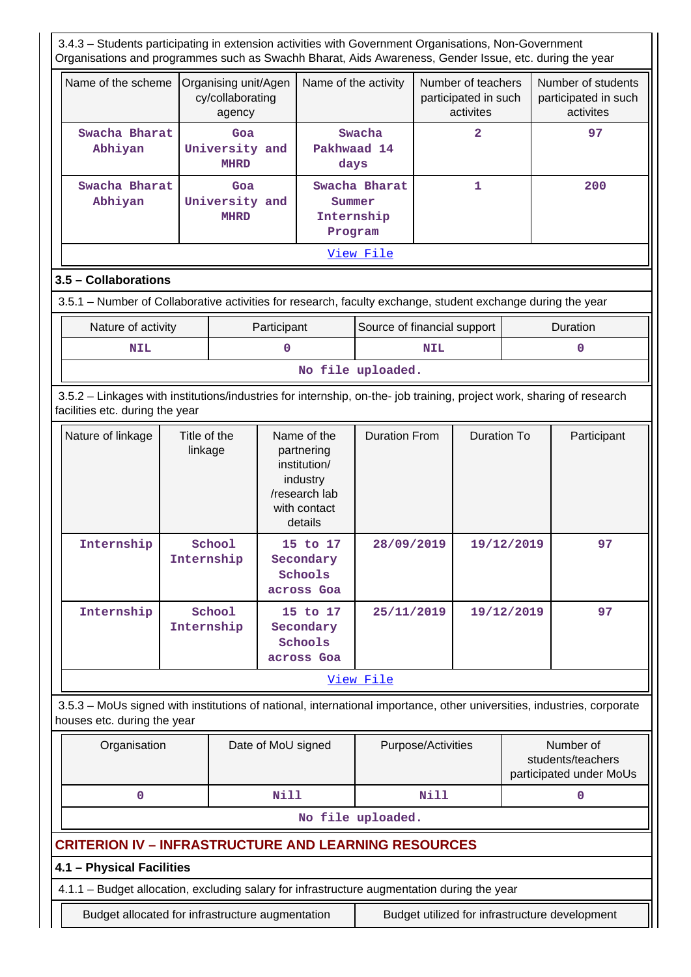3.4.3 – Students participating in extension activities with Government Organisations, Non-Government Organisations and programmes such as Swachh Bharat, Aids Awareness, Gender Issue, etc. during the year

| Name of the scheme       | Organising unit/Agen<br>cy/collaborating<br>agency | Name of the activity                             | Number of teachers<br>participated in such<br>activites | Number of students<br>participated in such<br>activites |
|--------------------------|----------------------------------------------------|--------------------------------------------------|---------------------------------------------------------|---------------------------------------------------------|
| Swacha Bharat<br>Abhiyan | Goa<br>University and<br><b>MHRD</b>               | Swacha<br>Pakhwaad 14<br>days                    | 2                                                       | 97                                                      |
| Swacha Bharat<br>Abhiyan | Goa<br>University and<br><b>MHRD</b>               | Swacha Bharat<br>Summer<br>Internship<br>Program |                                                         | 200                                                     |
|                          |                                                    | View File                                        |                                                         |                                                         |

## **3.5 – Collaborations**

3.5.1 – Number of Collaborative activities for research, faculty exchange, student exchange during the year

| Nature of activity | Participant | Source of financial support | <b>Duration</b> |  |  |  |
|--------------------|-------------|-----------------------------|-----------------|--|--|--|
| NIL                |             | <b>NIL</b>                  |                 |  |  |  |
| No file uploaded.  |             |                             |                 |  |  |  |

 3.5.2 – Linkages with institutions/industries for internship, on-the- job training, project work, sharing of research facilities etc. during the year

| Nature of linkage | Title of the<br>linkage                                                | Name of the<br>partnering<br>institution/<br>industry<br>/research lab<br>with contact<br>details | <b>Duration From</b> | Duration To | Participant |  |  |
|-------------------|------------------------------------------------------------------------|---------------------------------------------------------------------------------------------------|----------------------|-------------|-------------|--|--|
| Internship        | School<br>15 to 17<br>Internship<br>Secondary<br>Schools<br>across Goa |                                                                                                   | 28/09/2019           | 19/12/2019  | 97          |  |  |
| Internship        | School<br>Internship                                                   | 15 to 17<br>Secondary<br>Schools<br>across Goa                                                    | 25/11/2019           | 19/12/2019  | 97          |  |  |
|                   | View File                                                              |                                                                                                   |                      |             |             |  |  |

 3.5.3 – MoUs signed with institutions of national, international importance, other universities, industries, corporate houses etc. during the year

| Organisation | Date of MoU signed | Purpose/Activities | Number of<br>students/teachers<br>participated under MoUs |
|--------------|--------------------|--------------------|-----------------------------------------------------------|
|              | Nill               | Nill               |                                                           |

**No file uploaded.**

# **CRITERION IV – INFRASTRUCTURE AND LEARNING RESOURCES**

# **4.1 – Physical Facilities**

4.1.1 – Budget allocation, excluding salary for infrastructure augmentation during the year

Budget allocated for infrastructure augmentation Budget utilized for infrastructure development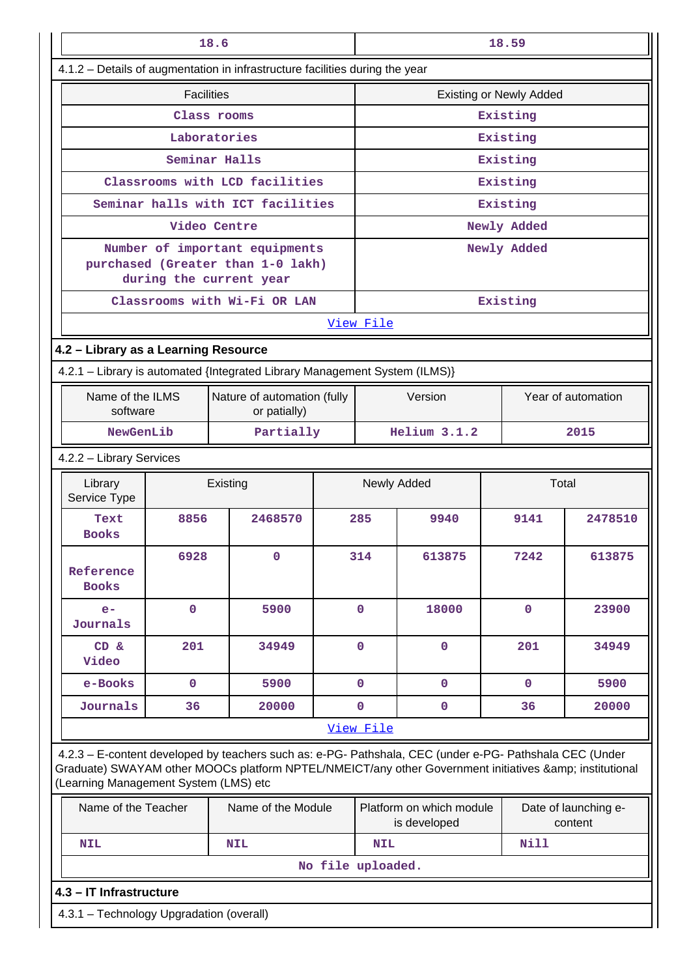| 18.6                                                                       |                                          |                                                                                                                                                                                                                |  |                      | 18.59                                    |                    |                                 |  |
|----------------------------------------------------------------------------|------------------------------------------|----------------------------------------------------------------------------------------------------------------------------------------------------------------------------------------------------------------|--|----------------------|------------------------------------------|--------------------|---------------------------------|--|
|                                                                            |                                          | 4.1.2 - Details of augmentation in infrastructure facilities during the year                                                                                                                                   |  |                      |                                          |                    |                                 |  |
|                                                                            | <b>Facilities</b>                        |                                                                                                                                                                                                                |  |                      | <b>Existing or Newly Added</b>           |                    |                                 |  |
|                                                                            |                                          | Class rooms                                                                                                                                                                                                    |  |                      | Existing                                 |                    |                                 |  |
|                                                                            |                                          | Laboratories                                                                                                                                                                                                   |  |                      |                                          | Existing           |                                 |  |
|                                                                            |                                          | Seminar Halls                                                                                                                                                                                                  |  |                      |                                          | Existing           |                                 |  |
|                                                                            |                                          | Classrooms with LCD facilities                                                                                                                                                                                 |  |                      |                                          | Existing           |                                 |  |
|                                                                            |                                          | Seminar halls with ICT facilities                                                                                                                                                                              |  |                      |                                          | Existing           |                                 |  |
|                                                                            |                                          | Video Centre                                                                                                                                                                                                   |  |                      |                                          | Newly Added        |                                 |  |
|                                                                            |                                          | Number of important equipments<br>purchased (Greater than 1-0 lakh)<br>during the current year                                                                                                                 |  |                      |                                          | Newly Added        |                                 |  |
|                                                                            |                                          | Classrooms with Wi-Fi OR LAN                                                                                                                                                                                   |  |                      |                                          | Existing           |                                 |  |
|                                                                            |                                          |                                                                                                                                                                                                                |  | View File            |                                          |                    |                                 |  |
| 4.2 - Library as a Learning Resource                                       |                                          |                                                                                                                                                                                                                |  |                      |                                          |                    |                                 |  |
| 4.2.1 - Library is automated {Integrated Library Management System (ILMS)} |                                          |                                                                                                                                                                                                                |  |                      |                                          |                    |                                 |  |
| Name of the ILMS<br>software                                               |                                          | Nature of automation (fully<br>or patially)                                                                                                                                                                    |  | Version              |                                          | Year of automation |                                 |  |
| NewGenLib                                                                  |                                          | Partially                                                                                                                                                                                                      |  | Helium 3.1.2         |                                          | 2015               |                                 |  |
|                                                                            | 4.2.2 - Library Services                 |                                                                                                                                                                                                                |  |                      |                                          |                    |                                 |  |
| Library<br>Service Type                                                    |                                          | Existing                                                                                                                                                                                                       |  | Newly Added<br>Total |                                          |                    |                                 |  |
| Text<br><b>Books</b>                                                       | 8856                                     | 2468570                                                                                                                                                                                                        |  | 285                  | 9940                                     | 9141               | 2478510                         |  |
| Reference<br><b>Books</b>                                                  | 6928                                     | $\mathbf 0$                                                                                                                                                                                                    |  | 314                  | 613875                                   | 7242               | 613875                          |  |
| $e-$<br>Journals                                                           | $\mathbf 0$                              | 5900                                                                                                                                                                                                           |  | $\mathbf 0$          | 18000                                    | $\mathbf{0}$       | 23900                           |  |
| CD &<br>Video                                                              | 201                                      | 34949                                                                                                                                                                                                          |  | $\mathbf 0$          | $\mathbf{0}$                             | 201                | 34949                           |  |
| e-Books                                                                    | $\mathbf 0$                              | 5900                                                                                                                                                                                                           |  | $\mathbf 0$          | $\mathbf 0$                              | $\mathbf 0$        | 5900                            |  |
| Journals                                                                   | 36                                       | 20000                                                                                                                                                                                                          |  | $\mathbf 0$          | $\mathbf 0$                              | 36                 | 20000                           |  |
|                                                                            |                                          |                                                                                                                                                                                                                |  | View File            |                                          |                    |                                 |  |
| (Learning Management System (LMS) etc                                      |                                          | 4.2.3 - E-content developed by teachers such as: e-PG- Pathshala, CEC (under e-PG- Pathshala CEC (Under<br>Graduate) SWAYAM other MOOCs platform NPTEL/NMEICT/any other Government initiatives & institutional |  |                      |                                          |                    |                                 |  |
| Name of the Teacher                                                        |                                          | Name of the Module                                                                                                                                                                                             |  |                      | Platform on which module<br>is developed |                    | Date of launching e-<br>content |  |
| <b>NIL</b>                                                                 |                                          | <b>NIL</b>                                                                                                                                                                                                     |  | <b>NIL</b>           |                                          | <b>Nill</b>        |                                 |  |
|                                                                            |                                          |                                                                                                                                                                                                                |  | No file uploaded.    |                                          |                    |                                 |  |
| 4.3 - IT Infrastructure                                                    |                                          |                                                                                                                                                                                                                |  |                      |                                          |                    |                                 |  |
|                                                                            | 4.3.1 - Technology Upgradation (overall) |                                                                                                                                                                                                                |  |                      |                                          |                    |                                 |  |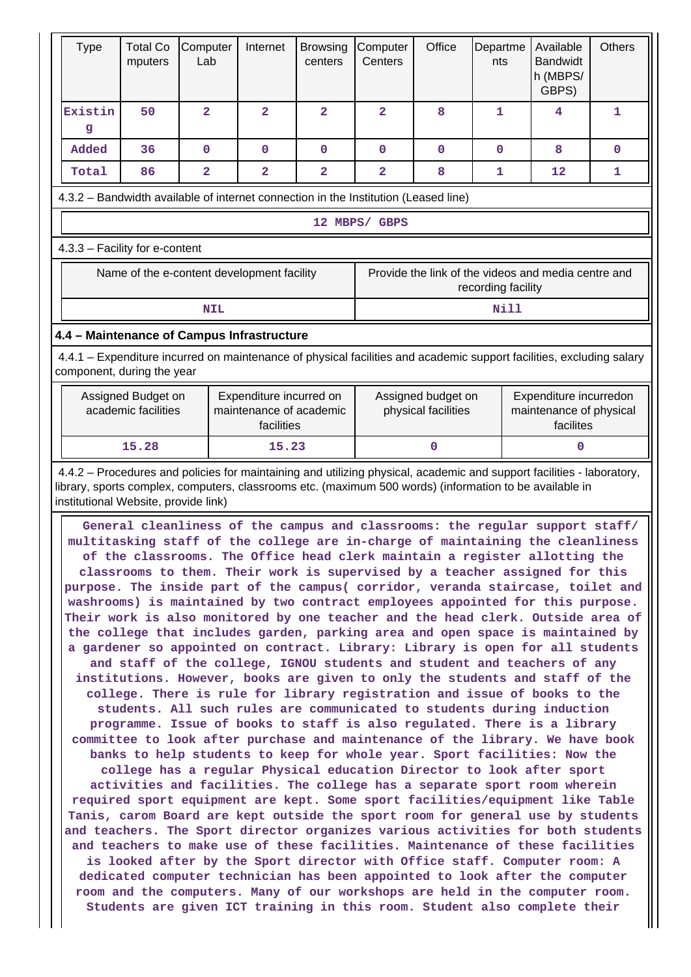| <b>Type</b>                                                                                                                                                                                       | <b>Total Co</b><br>mputers                                                | Computer<br>Lab                            | Internet            | <b>Browsing</b><br>centers | Computer<br>Centers | Office       | Departme<br>nts    | Available<br><b>Bandwidt</b><br>h (MBPS/<br>GBPS)                                                                                                                                                                                                                                                                                                                                                                                                                                                                                                                                                                                                                                                                                                                                                                                                                                                                                                                                                                                                                                                                                                                                                                                                                                                                                                                                                                                                                                                                                                                                                                                                                                                                                                                                                               | <b>Others</b> |
|---------------------------------------------------------------------------------------------------------------------------------------------------------------------------------------------------|---------------------------------------------------------------------------|--------------------------------------------|---------------------|----------------------------|---------------------|--------------|--------------------|-----------------------------------------------------------------------------------------------------------------------------------------------------------------------------------------------------------------------------------------------------------------------------------------------------------------------------------------------------------------------------------------------------------------------------------------------------------------------------------------------------------------------------------------------------------------------------------------------------------------------------------------------------------------------------------------------------------------------------------------------------------------------------------------------------------------------------------------------------------------------------------------------------------------------------------------------------------------------------------------------------------------------------------------------------------------------------------------------------------------------------------------------------------------------------------------------------------------------------------------------------------------------------------------------------------------------------------------------------------------------------------------------------------------------------------------------------------------------------------------------------------------------------------------------------------------------------------------------------------------------------------------------------------------------------------------------------------------------------------------------------------------------------------------------------------------|---------------|
| Existin<br>g                                                                                                                                                                                      | 50                                                                        | $\overline{a}$                             | $\overline{2}$      | $\overline{2}$             | $\overline{a}$      | 8            | 1                  | 4                                                                                                                                                                                                                                                                                                                                                                                                                                                                                                                                                                                                                                                                                                                                                                                                                                                                                                                                                                                                                                                                                                                                                                                                                                                                                                                                                                                                                                                                                                                                                                                                                                                                                                                                                                                                               | 1             |
| <b>Added</b>                                                                                                                                                                                      | 36                                                                        | $\mathbf 0$                                | $\mathbf 0$         | $\mathbf 0$                | $\mathbf{0}$        | $\mathbf{0}$ | $\mathbf{0}$       | 8                                                                                                                                                                                                                                                                                                                                                                                                                                                                                                                                                                                                                                                                                                                                                                                                                                                                                                                                                                                                                                                                                                                                                                                                                                                                                                                                                                                                                                                                                                                                                                                                                                                                                                                                                                                                               | $\mathbf 0$   |
| Total                                                                                                                                                                                             | 86                                                                        | 2                                          | $\overline{2}$      | $\overline{\mathbf{2}}$    | $\overline{2}$      | 8            | $\mathbf{1}$       | 12                                                                                                                                                                                                                                                                                                                                                                                                                                                                                                                                                                                                                                                                                                                                                                                                                                                                                                                                                                                                                                                                                                                                                                                                                                                                                                                                                                                                                                                                                                                                                                                                                                                                                                                                                                                                              | 1             |
| 4.3.2 - Bandwidth available of internet connection in the Institution (Leased line)                                                                                                               |                                                                           |                                            |                     |                            |                     |              |                    |                                                                                                                                                                                                                                                                                                                                                                                                                                                                                                                                                                                                                                                                                                                                                                                                                                                                                                                                                                                                                                                                                                                                                                                                                                                                                                                                                                                                                                                                                                                                                                                                                                                                                                                                                                                                                 |               |
|                                                                                                                                                                                                   |                                                                           |                                            |                     |                            | 12 MBPS/ GBPS       |              |                    |                                                                                                                                                                                                                                                                                                                                                                                                                                                                                                                                                                                                                                                                                                                                                                                                                                                                                                                                                                                                                                                                                                                                                                                                                                                                                                                                                                                                                                                                                                                                                                                                                                                                                                                                                                                                                 |               |
| 4.3.3 - Facility for e-content                                                                                                                                                                    |                                                                           |                                            |                     |                            |                     |              |                    |                                                                                                                                                                                                                                                                                                                                                                                                                                                                                                                                                                                                                                                                                                                                                                                                                                                                                                                                                                                                                                                                                                                                                                                                                                                                                                                                                                                                                                                                                                                                                                                                                                                                                                                                                                                                                 |               |
|                                                                                                                                                                                                   |                                                                           | Name of the e-content development facility |                     |                            |                     |              | recording facility | Provide the link of the videos and media centre and                                                                                                                                                                                                                                                                                                                                                                                                                                                                                                                                                                                                                                                                                                                                                                                                                                                                                                                                                                                                                                                                                                                                                                                                                                                                                                                                                                                                                                                                                                                                                                                                                                                                                                                                                             |               |
|                                                                                                                                                                                                   |                                                                           | <b>NIL</b>                                 |                     |                            |                     |              | <b>Nill</b>        |                                                                                                                                                                                                                                                                                                                                                                                                                                                                                                                                                                                                                                                                                                                                                                                                                                                                                                                                                                                                                                                                                                                                                                                                                                                                                                                                                                                                                                                                                                                                                                                                                                                                                                                                                                                                                 |               |
| 4.4 - Maintenance of Campus Infrastructure                                                                                                                                                        |                                                                           |                                            |                     |                            |                     |              |                    |                                                                                                                                                                                                                                                                                                                                                                                                                                                                                                                                                                                                                                                                                                                                                                                                                                                                                                                                                                                                                                                                                                                                                                                                                                                                                                                                                                                                                                                                                                                                                                                                                                                                                                                                                                                                                 |               |
|                                                                                                                                                                                                   |                                                                           |                                            |                     |                            |                     |              |                    | 4.4.1 – Expenditure incurred on maintenance of physical facilities and academic support facilities, excluding salary                                                                                                                                                                                                                                                                                                                                                                                                                                                                                                                                                                                                                                                                                                                                                                                                                                                                                                                                                                                                                                                                                                                                                                                                                                                                                                                                                                                                                                                                                                                                                                                                                                                                                            |               |
| component, during the year                                                                                                                                                                        |                                                                           |                                            |                     |                            |                     |              |                    |                                                                                                                                                                                                                                                                                                                                                                                                                                                                                                                                                                                                                                                                                                                                                                                                                                                                                                                                                                                                                                                                                                                                                                                                                                                                                                                                                                                                                                                                                                                                                                                                                                                                                                                                                                                                                 |               |
| Assigned Budget on<br>Expenditure incurred on<br>Expenditure incurredon<br>Assigned budget on<br>maintenance of academic<br>maintenance of physical<br>academic facilities<br>physical facilities |                                                                           |                                            | facilites           |                            |                     |              |                    |                                                                                                                                                                                                                                                                                                                                                                                                                                                                                                                                                                                                                                                                                                                                                                                                                                                                                                                                                                                                                                                                                                                                                                                                                                                                                                                                                                                                                                                                                                                                                                                                                                                                                                                                                                                                                 |               |
|                                                                                                                                                                                                   | 15.28                                                                     |                                            | facilities<br>15.23 |                            |                     | $\Omega$     |                    | O                                                                                                                                                                                                                                                                                                                                                                                                                                                                                                                                                                                                                                                                                                                                                                                                                                                                                                                                                                                                                                                                                                                                                                                                                                                                                                                                                                                                                                                                                                                                                                                                                                                                                                                                                                                                               |               |
|                                                                                                                                                                                                   |                                                                           |                                            |                     |                            |                     |              |                    | 4.4.2 - Procedures and policies for maintaining and utilizing physical, academic and support facilities - laboratory,                                                                                                                                                                                                                                                                                                                                                                                                                                                                                                                                                                                                                                                                                                                                                                                                                                                                                                                                                                                                                                                                                                                                                                                                                                                                                                                                                                                                                                                                                                                                                                                                                                                                                           |               |
|                                                                                                                                                                                                   |                                                                           |                                            |                     |                            |                     |              |                    | General cleanliness of the campus and classrooms: the regular support staff/<br>multitasking staff of the college are in-charge of maintaining the cleanliness<br>of the classrooms. The Office head clerk maintain a register allotting the<br>classrooms to them. Their work is supervised by a teacher assigned for this<br>purpose. The inside part of the campus( corridor, veranda staircase, toilet and<br>washrooms) is maintained by two contract employees appointed for this purpose.<br>Their work is also monitored by one teacher and the head clerk. Outside area of<br>the college that includes garden, parking area and open space is maintained by<br>a gardener so appointed on contract. Library: Library is open for all students<br>and staff of the college, IGNOU students and student and teachers of any<br>institutions. However, books are given to only the students and staff of the<br>college. There is rule for library registration and issue of books to the<br>students. All such rules are communicated to students during induction<br>programme. Issue of books to staff is also regulated. There is a library<br>committee to look after purchase and maintenance of the library. We have book<br>banks to help students to keep for whole year. Sport facilities: Now the<br>college has a regular Physical education Director to look after sport<br>activities and facilities. The college has a separate sport room wherein<br>required sport equipment are kept. Some sport facilities/equipment like Table<br>Tanis, carom Board are kept outside the sport room for general use by students<br>and teachers. The Sport director organizes various activities for both students<br>and teachers to make use of these facilities. Maintenance of these facilities |               |
|                                                                                                                                                                                                   | Students are given ICT training in this room. Student also complete their |                                            |                     |                            |                     |              |                    | is looked after by the Sport director with Office staff. Computer room: A<br>dedicated computer technician has been appointed to look after the computer<br>room and the computers. Many of our workshops are held in the computer room.                                                                                                                                                                                                                                                                                                                                                                                                                                                                                                                                                                                                                                                                                                                                                                                                                                                                                                                                                                                                                                                                                                                                                                                                                                                                                                                                                                                                                                                                                                                                                                        |               |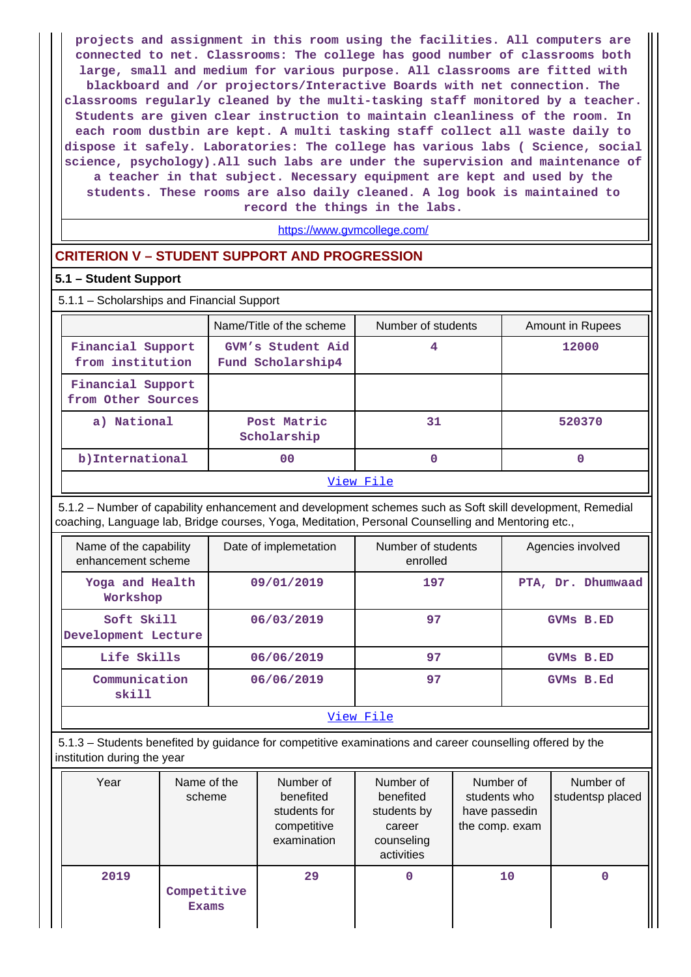**projects and assignment in this room using the facilities. All computers are connected to net. Classrooms: The college has good number of classrooms both large, small and medium for various purpose. All classrooms are fitted with blackboard and /or projectors/Interactive Boards with net connection. The classrooms regularly cleaned by the multi-tasking staff monitored by a teacher. Students are given clear instruction to maintain cleanliness of the room. In each room dustbin are kept. A multi tasking staff collect all waste daily to dispose it safely. Laboratories: The college has various labs ( Science, social science, psychology).All such labs are under the supervision and maintenance of a teacher in that subject. Necessary equipment are kept and used by the students. These rooms are also daily cleaned. A log book is maintained to record the things in the labs.**

<https://www.gvmcollege.com/>

### **CRITERION V – STUDENT SUPPORT AND PROGRESSION**

#### **5.1 – Student Support**

| 5.1.1 - Scholarships and Financial Support |                                        |                    |                         |  |  |  |  |  |
|--------------------------------------------|----------------------------------------|--------------------|-------------------------|--|--|--|--|--|
|                                            | Name/Title of the scheme               | Number of students | <b>Amount in Rupees</b> |  |  |  |  |  |
| Financial Support<br>from institution      | GVM's Student Aid<br>Fund Scholarship4 | 4                  | 12000                   |  |  |  |  |  |
| Financial Support<br>from Other Sources    |                                        |                    |                         |  |  |  |  |  |
| a) National                                | Post Matric<br>Scholarship             | 31                 | 520370                  |  |  |  |  |  |
| b)International                            | 00                                     | 0                  | 0                       |  |  |  |  |  |
|                                            |                                        | View File          |                         |  |  |  |  |  |

 5.1.2 – Number of capability enhancement and development schemes such as Soft skill development, Remedial coaching, Language lab, Bridge courses, Yoga, Meditation, Personal Counselling and Mentoring etc.,

| Name of the capability<br>enhancement scheme | Date of implemetation | Number of students<br>enrolled | Agencies involved |  |  |  |  |
|----------------------------------------------|-----------------------|--------------------------------|-------------------|--|--|--|--|
| Yoga and Health<br>Workshop                  | 09/01/2019            | 197                            | PTA, Dr. Dhumwaad |  |  |  |  |
| Soft Skill<br>Development Lecture            | 06/03/2019            | 97                             | <b>GVMs B.ED</b>  |  |  |  |  |
| Life Skills                                  | 06/06/2019            | 97                             | GVMs B.ED         |  |  |  |  |
| Communication<br>skill                       | 06/06/2019            | 97                             | GVMs B.Ed         |  |  |  |  |
| View File                                    |                       |                                |                   |  |  |  |  |

 5.1.3 – Students benefited by guidance for competitive examinations and career counselling offered by the institution during the year

| Year | Name of the<br>scheme       | Number of<br>benefited<br>students for<br>competitive<br>examination | Number of<br>benefited<br>students by<br>career<br>counseling<br>activities | Number of<br>students who<br>have passedin<br>the comp. exam | Number of<br>studentsp placed |
|------|-----------------------------|----------------------------------------------------------------------|-----------------------------------------------------------------------------|--------------------------------------------------------------|-------------------------------|
| 2019 | Competitive<br><b>Exams</b> | 29                                                                   | 0                                                                           | 10                                                           |                               |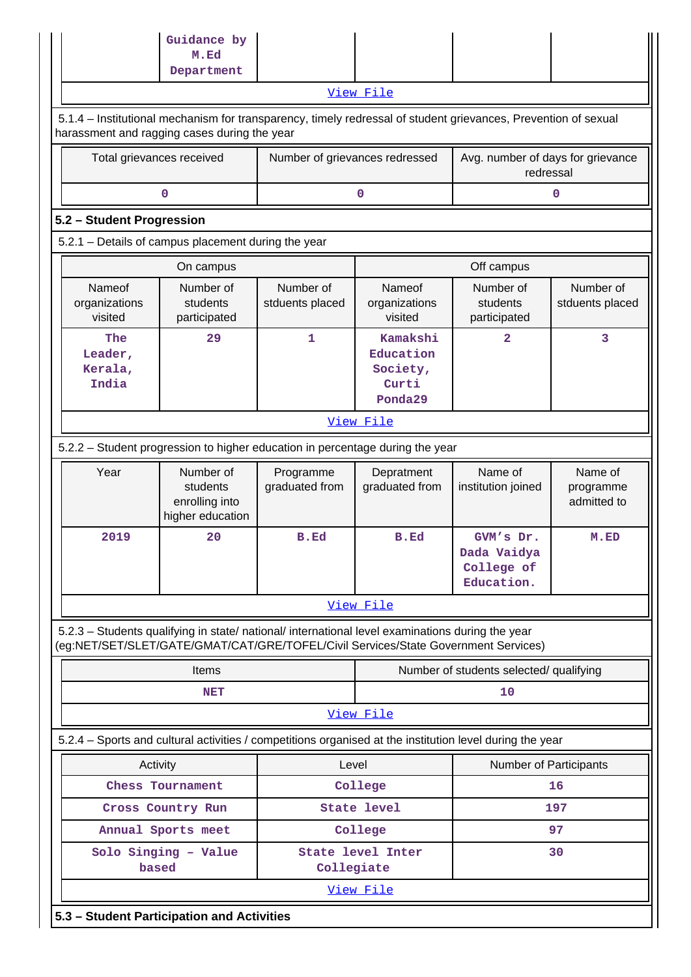|                                                                                                                                                                                        | Guidance by<br>M.Ed                                         |                                                            |                                                              |                                                |                                     |  |  |  |  |  |  |  |
|----------------------------------------------------------------------------------------------------------------------------------------------------------------------------------------|-------------------------------------------------------------|------------------------------------------------------------|--------------------------------------------------------------|------------------------------------------------|-------------------------------------|--|--|--|--|--|--|--|
|                                                                                                                                                                                        | Department                                                  |                                                            |                                                              |                                                |                                     |  |  |  |  |  |  |  |
|                                                                                                                                                                                        | View File                                                   |                                                            |                                                              |                                                |                                     |  |  |  |  |  |  |  |
| 5.1.4 – Institutional mechanism for transparency, timely redressal of student grievances, Prevention of sexual<br>harassment and ragging cases during the year                         |                                                             |                                                            |                                                              |                                                |                                     |  |  |  |  |  |  |  |
|                                                                                                                                                                                        | Total grievances received                                   | Number of grievances redressed                             |                                                              | Avg. number of days for grievance<br>redressal |                                     |  |  |  |  |  |  |  |
| 0<br>0<br>0                                                                                                                                                                            |                                                             |                                                            |                                                              |                                                |                                     |  |  |  |  |  |  |  |
| 5.2 - Student Progression                                                                                                                                                              |                                                             |                                                            |                                                              |                                                |                                     |  |  |  |  |  |  |  |
| 5.2.1 - Details of campus placement during the year                                                                                                                                    |                                                             |                                                            |                                                              |                                                |                                     |  |  |  |  |  |  |  |
|                                                                                                                                                                                        | Off campus<br>On campus                                     |                                                            |                                                              |                                                |                                     |  |  |  |  |  |  |  |
| Nameof<br>organizations<br>visited                                                                                                                                                     | Number of<br>students<br>participated                       | Number of<br>stduents placed                               | Nameof<br>organizations<br>visited                           |                                                | Number of<br>stduents placed        |  |  |  |  |  |  |  |
| The<br>Leader,<br>Kerala,<br>India                                                                                                                                                     | 29                                                          | 1<br>Kamakshi<br>Education<br>Society,<br>Curti<br>Ponda29 |                                                              | $\overline{2}$                                 | 3                                   |  |  |  |  |  |  |  |
| View File                                                                                                                                                                              |                                                             |                                                            |                                                              |                                                |                                     |  |  |  |  |  |  |  |
| 5.2.2 - Student progression to higher education in percentage during the year                                                                                                          |                                                             |                                                            |                                                              |                                                |                                     |  |  |  |  |  |  |  |
| Year                                                                                                                                                                                   | Number of<br>students<br>enrolling into<br>higher education | Programme<br>graduated from                                | Depratment<br>graduated from                                 |                                                | Name of<br>programme<br>admitted to |  |  |  |  |  |  |  |
| 2019                                                                                                                                                                                   | 20                                                          | <b>B.Ed</b>                                                | B.Ed<br>GVM's Dr.<br>Dada Vaidya<br>College of<br>Education. |                                                | M.ED                                |  |  |  |  |  |  |  |
|                                                                                                                                                                                        |                                                             |                                                            | View File                                                    |                                                |                                     |  |  |  |  |  |  |  |
| 5.2.3 - Students qualifying in state/ national/ international level examinations during the year<br>(eg:NET/SET/SLET/GATE/GMAT/CAT/GRE/TOFEL/Civil Services/State Government Services) |                                                             |                                                            |                                                              |                                                |                                     |  |  |  |  |  |  |  |
|                                                                                                                                                                                        | Items                                                       |                                                            |                                                              | Number of students selected/ qualifying        |                                     |  |  |  |  |  |  |  |
|                                                                                                                                                                                        | <b>NET</b>                                                  |                                                            |                                                              | 10                                             |                                     |  |  |  |  |  |  |  |
|                                                                                                                                                                                        |                                                             |                                                            | View File                                                    |                                                |                                     |  |  |  |  |  |  |  |
| 5.2.4 - Sports and cultural activities / competitions organised at the institution level during the year                                                                               |                                                             |                                                            |                                                              |                                                |                                     |  |  |  |  |  |  |  |
|                                                                                                                                                                                        | Activity                                                    | Level                                                      |                                                              | Number of Participants                         |                                     |  |  |  |  |  |  |  |
|                                                                                                                                                                                        | Chess Tournament                                            |                                                            | College                                                      |                                                | 16                                  |  |  |  |  |  |  |  |
|                                                                                                                                                                                        | Cross Country Run                                           |                                                            | <b>State level</b>                                           |                                                | 197                                 |  |  |  |  |  |  |  |
|                                                                                                                                                                                        | Annual Sports meet                                          |                                                            | College                                                      |                                                | 97                                  |  |  |  |  |  |  |  |
|                                                                                                                                                                                        | Solo Singing - Value<br>based                               | Collegiate                                                 | State level Inter                                            | 30                                             |                                     |  |  |  |  |  |  |  |
|                                                                                                                                                                                        |                                                             |                                                            | View File                                                    |                                                |                                     |  |  |  |  |  |  |  |
|                                                                                                                                                                                        | 5.3 - Student Participation and Activities                  |                                                            |                                                              |                                                |                                     |  |  |  |  |  |  |  |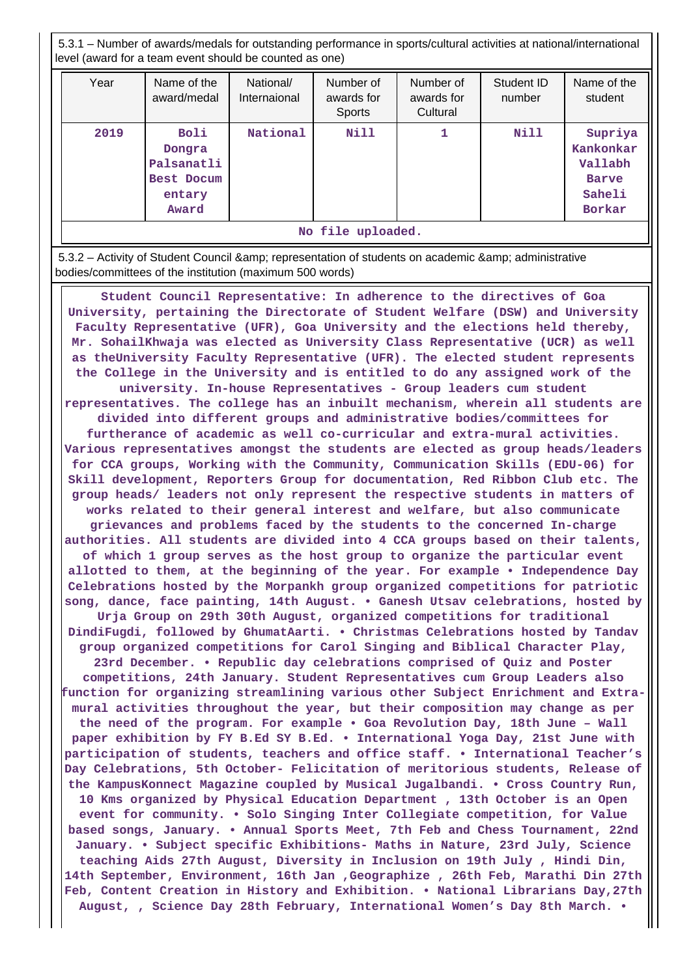5.3.1 – Number of awards/medals for outstanding performance in sports/cultural activities at national/international level (award for a team event should be counted as one)

| Year              | Name of the<br>award/medal                                           | National/<br>Internaional | Number of<br>awards for<br><b>Sports</b> | Number of<br>awards for<br>Cultural | Student ID<br>number | Name of the<br>student                                                     |  |  |
|-------------------|----------------------------------------------------------------------|---------------------------|------------------------------------------|-------------------------------------|----------------------|----------------------------------------------------------------------------|--|--|
| 2019              | <b>Boli</b><br>Dongra<br>Palsanatli<br>Best Docum<br>entary<br>Award | National                  | <b>Nill</b>                              |                                     | Nill                 | Supriya<br>Kankonkar<br>Vallabh<br><b>Barve</b><br>Saheli<br><b>Borkar</b> |  |  |
| No file uploaded. |                                                                      |                           |                                          |                                     |                      |                                                                            |  |  |

5.3.2 – Activity of Student Council & amp; representation of students on academic & amp; administrative bodies/committees of the institution (maximum 500 words)

 **Student Council Representative: In adherence to the directives of Goa University, pertaining the Directorate of Student Welfare (DSW) and University Faculty Representative (UFR), Goa University and the elections held thereby, Mr. SohailKhwaja was elected as University Class Representative (UCR) as well as theUniversity Faculty Representative (UFR). The elected student represents the College in the University and is entitled to do any assigned work of the university. In-house Representatives - Group leaders cum student**

**representatives. The college has an inbuilt mechanism, wherein all students are divided into different groups and administrative bodies/committees for furtherance of academic as well co-curricular and extra-mural activities. Various representatives amongst the students are elected as group heads/leaders for CCA groups, Working with the Community, Communication Skills (EDU-06) for Skill development, Reporters Group for documentation, Red Ribbon Club etc. The group heads/ leaders not only represent the respective students in matters of works related to their general interest and welfare, but also communicate grievances and problems faced by the students to the concerned In-charge**

**authorities. All students are divided into 4 CCA groups based on their talents, of which 1 group serves as the host group to organize the particular event allotted to them, at the beginning of the year. For example • Independence Day Celebrations hosted by the Morpankh group organized competitions for patriotic song, dance, face painting, 14th August. • Ganesh Utsav celebrations, hosted by**

**Urja Group on 29th 30th August, organized competitions for traditional DindiFugdi, followed by GhumatAarti. • Christmas Celebrations hosted by Tandav group organized competitions for Carol Singing and Biblical Character Play,**

**23rd December. • Republic day celebrations comprised of Quiz and Poster competitions, 24th January. Student Representatives cum Group Leaders also function for organizing streamlining various other Subject Enrichment and Extramural activities throughout the year, but their composition may change as per the need of the program. For example • Goa Revolution Day, 18th June – Wall paper exhibition by FY B.Ed SY B.Ed. • International Yoga Day, 21st June with participation of students, teachers and office staff. • International Teacher's Day Celebrations, 5th October- Felicitation of meritorious students, Release of the KampusKonnect Magazine coupled by Musical Jugalbandi. • Cross Country Run, 10 Kms organized by Physical Education Department , 13th October is an Open event for community. • Solo Singing Inter Collegiate competition, for Value based songs, January. • Annual Sports Meet, 7th Feb and Chess Tournament, 22nd January. • Subject specific Exhibitions- Maths in Nature, 23rd July, Science teaching Aids 27th August, Diversity in Inclusion on 19th July , Hindi Din, 14th September, Environment, 16th Jan ,Geographize , 26th Feb, Marathi Din 27th Feb, Content Creation in History and Exhibition. • National Librarians Day,27th August, , Science Day 28th February, International Women's Day 8th March. •**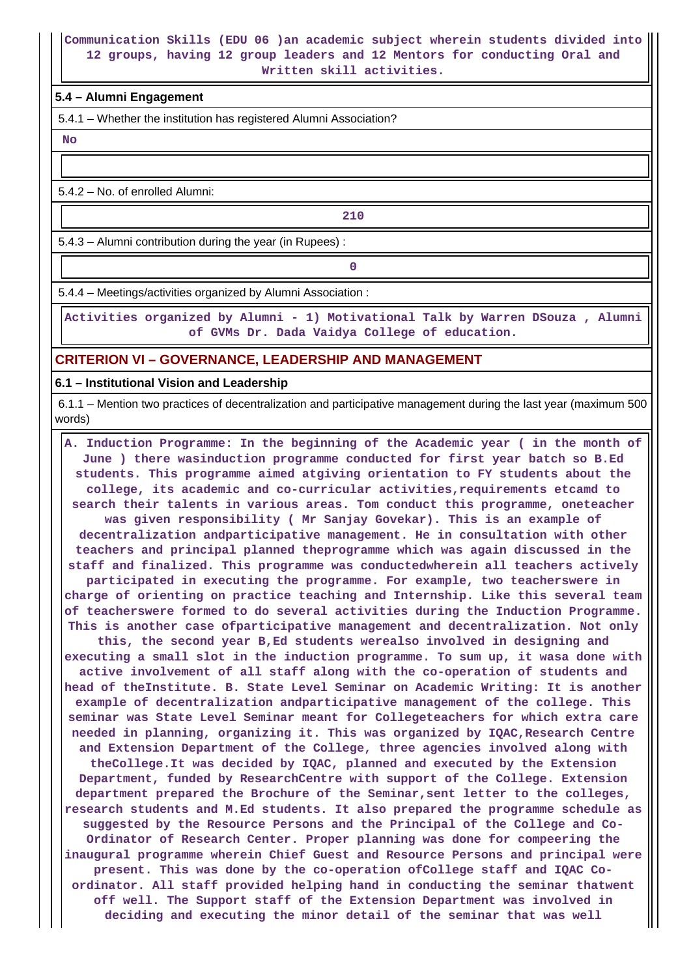#### **Communication Skills (EDU 06 )an academic subject wherein students divided into 12 groups, having 12 group leaders and 12 Mentors for conducting Oral and Written skill activities.**

#### **5.4 – Alumni Engagement**

5.4.1 – Whether the institution has registered Alumni Association?

 **No**

5.4.2 – No. of enrolled Alumni:

**210** 

5.4.3 – Alumni contribution during the year (in Rupees) :

**0**

5.4.4 – Meetings/activities organized by Alumni Association :

 **Activities organized by Alumni - 1) Motivational Talk by Warren DSouza , Alumni of GVMs Dr. Dada Vaidya College of education.**

# **CRITERION VI – GOVERNANCE, LEADERSHIP AND MANAGEMENT**

**6.1 – Institutional Vision and Leadership**

 6.1.1 – Mention two practices of decentralization and participative management during the last year (maximum 500 words)

 **A. Induction Programme: In the beginning of the Academic year ( in the month of June ) there wasinduction programme conducted for first year batch so B.Ed students. This programme aimed atgiving orientation to FY students about the college, its academic and co-curricular activities,requirements etcamd to search their talents in various areas. Tom conduct this programme, oneteacher was given responsibility ( Mr Sanjay Govekar). This is an example of decentralization andparticipative management. He in consultation with other teachers and principal planned theprogramme which was again discussed in the staff and finalized. This programme was conductedwherein all teachers actively participated in executing the programme. For example, two teacherswere in charge of orienting on practice teaching and Internship. Like this several team of teacherswere formed to do several activities during the Induction Programme. This is another case ofparticipative management and decentralization. Not only this, the second year B,Ed students werealso involved in designing and executing a small slot in the induction programme. To sum up, it wasa done with active involvement of all staff along with the co-operation of students and head of theInstitute. B. State Level Seminar on Academic Writing: It is another example of decentralization andparticipative management of the college. This seminar was State Level Seminar meant for Collegeteachers for which extra care needed in planning, organizing it. This was organized by IQAC,Research Centre and Extension Department of the College, three agencies involved along with theCollege.It was decided by IQAC, planned and executed by the Extension Department, funded by ResearchCentre with support of the College. Extension department prepared the Brochure of the Seminar,sent letter to the colleges, research students and M.Ed students. It also prepared the programme schedule as suggested by the Resource Persons and the Principal of the College and Co-Ordinator of Research Center. Proper planning was done for compeering the inaugural programme wherein Chief Guest and Resource Persons and principal were present. This was done by the co-operation ofCollege staff and IQAC Coordinator. All staff provided helping hand in conducting the seminar thatwent off well. The Support staff of the Extension Department was involved in deciding and executing the minor detail of the seminar that was well**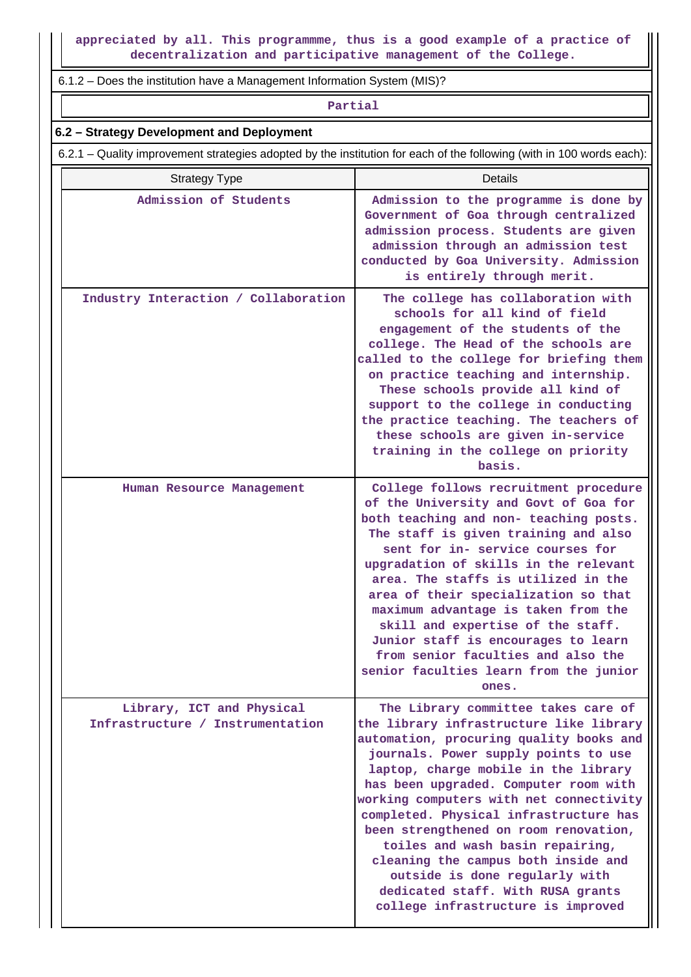6.1.2 – Does the institution have a Management Information System (MIS)?

**Partial**

#### **6.2 – Strategy Development and Deployment**

6.2.1 – Quality improvement strategies adopted by the institution for each of the following (with in 100 words each):

| <b>Strategy Type</b>                                          | Details                                                                                                                                                                                                                                                                                                                                                                                                                                                                                                                                                                  |
|---------------------------------------------------------------|--------------------------------------------------------------------------------------------------------------------------------------------------------------------------------------------------------------------------------------------------------------------------------------------------------------------------------------------------------------------------------------------------------------------------------------------------------------------------------------------------------------------------------------------------------------------------|
| Admission of Students                                         | Admission to the programme is done by<br>Government of Goa through centralized<br>admission process. Students are given<br>admission through an admission test<br>conducted by Goa University. Admission<br>is entirely through merit.                                                                                                                                                                                                                                                                                                                                   |
| Industry Interaction / Collaboration                          | The college has collaboration with<br>schools for all kind of field<br>engagement of the students of the<br>college. The Head of the schools are<br>called to the college for briefing them<br>on practice teaching and internship.<br>These schools provide all kind of<br>support to the college in conducting<br>the practice teaching. The teachers of<br>these schools are given in-service<br>training in the college on priority<br>basis.                                                                                                                        |
| Human Resource Management                                     | College follows recruitment procedure<br>of the University and Govt of Goa for<br>both teaching and non- teaching posts.<br>The staff is given training and also<br>sent for in- service courses for<br>upgradation of skills in the relevant<br>area. The staffs is utilized in the<br>area of their specialization so that<br>maximum advantage is taken from the<br>skill and expertise of the staff.<br>Junior staff is encourages to learn<br>from senior faculties and also the<br>senior faculties learn from the junior<br>ones.                                 |
| Library, ICT and Physical<br>Infrastructure / Instrumentation | The Library committee takes care of<br>the library infrastructure like library<br>automation, procuring quality books and<br>journals. Power supply points to use<br>laptop, charge mobile in the library<br>has been upgraded. Computer room with<br>working computers with net connectivity<br>completed. Physical infrastructure has<br>been strengthened on room renovation,<br>toiles and wash basin repairing,<br>cleaning the campus both inside and<br>outside is done regularly with<br>dedicated staff. With RUSA grants<br>college infrastructure is improved |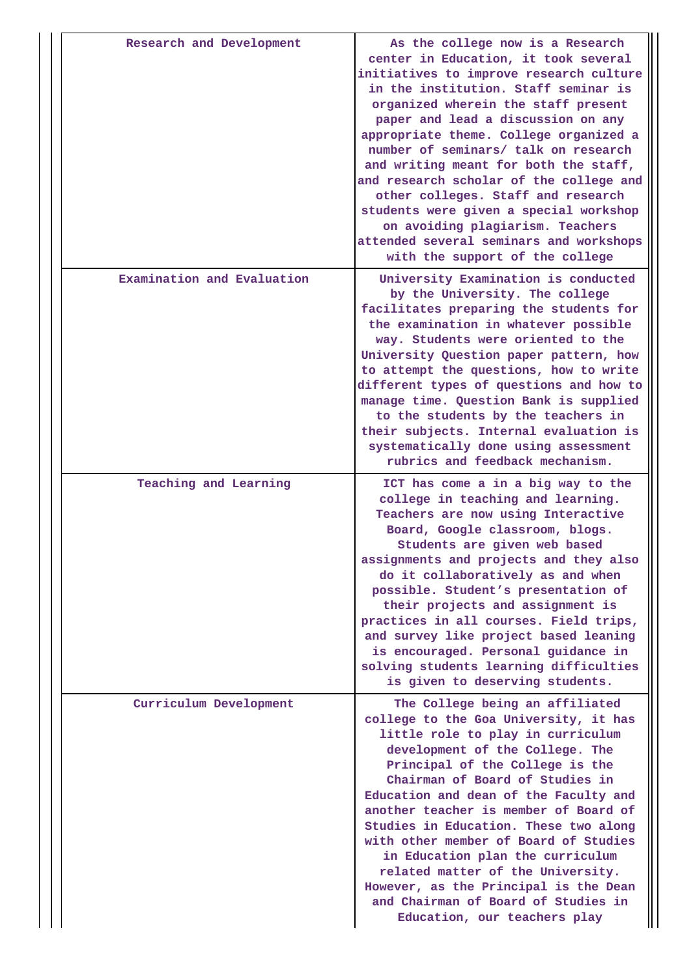| Research and Development   | As the college now is a Research<br>center in Education, it took several<br>initiatives to improve research culture<br>in the institution. Staff seminar is<br>organized wherein the staff present<br>paper and lead a discussion on any<br>appropriate theme. College organized a<br>number of seminars/ talk on research<br>and writing meant for both the staff,<br>and research scholar of the college and<br>other colleges. Staff and research<br>students were given a special workshop<br>on avoiding plagiarism. Teachers<br>attended several seminars and workshops<br>with the support of the college |
|----------------------------|------------------------------------------------------------------------------------------------------------------------------------------------------------------------------------------------------------------------------------------------------------------------------------------------------------------------------------------------------------------------------------------------------------------------------------------------------------------------------------------------------------------------------------------------------------------------------------------------------------------|
| Examination and Evaluation | University Examination is conducted<br>by the University. The college<br>facilitates preparing the students for<br>the examination in whatever possible<br>way. Students were oriented to the<br>University Question paper pattern, how<br>to attempt the questions, how to write<br>different types of questions and how to<br>manage time. Question Bank is supplied<br>to the students by the teachers in<br>their subjects. Internal evaluation is<br>systematically done using assessment<br>rubrics and feedback mechanism.                                                                                |
| Teaching and Learning      | ICT has come a in a big way to the<br>college in teaching and learning.<br>Teachers are now using Interactive<br>Board, Google classroom, blogs.<br>Students are given web based<br>assignments and projects and they also<br>do it collaboratively as and when<br>possible. Student's presentation of<br>their projects and assignment is<br>practices in all courses. Field trips,<br>and survey like project based leaning<br>is encouraged. Personal guidance in<br>solving students learning difficulties<br>is given to deserving students.                                                                |
| Curriculum Development     | The College being an affiliated<br>college to the Goa University, it has<br>little role to play in curriculum<br>development of the College. The<br>Principal of the College is the<br>Chairman of Board of Studies in<br>Education and dean of the Faculty and<br>another teacher is member of Board of<br>Studies in Education. These two along<br>with other member of Board of Studies<br>in Education plan the curriculum<br>related matter of the University.<br>However, as the Principal is the Dean<br>and Chairman of Board of Studies in<br>Education, our teachers play                              |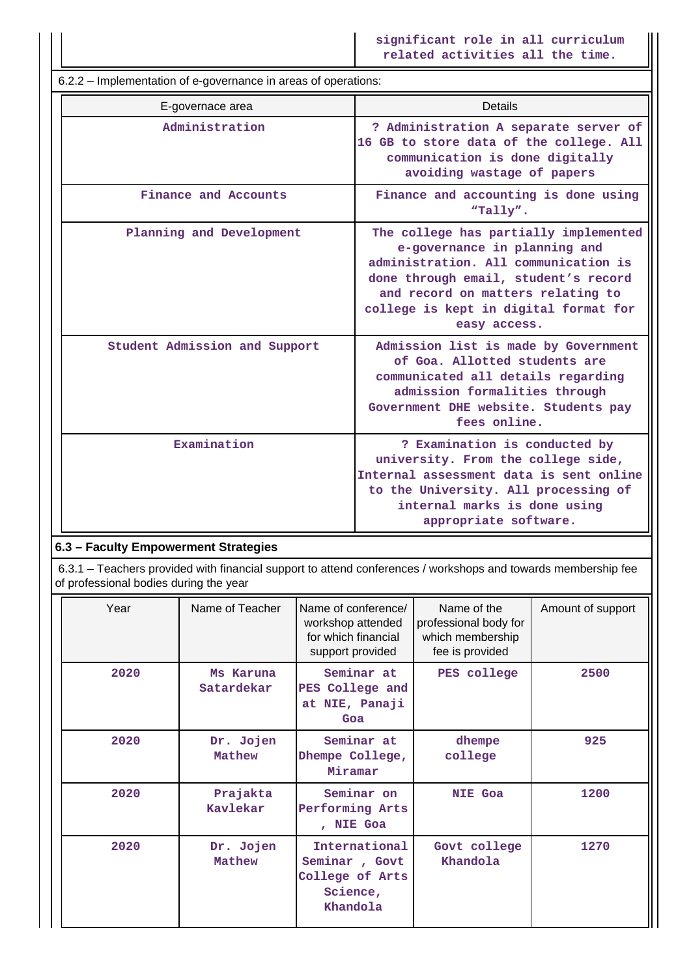**significant role in all curriculum related activities all the time.**

 6.2.2 – Implementation of e-governance in areas of operations: E-governace area **Details Administration ? Administration A separate server of 16 GB to store data of the college. All communication is done digitally avoiding wastage of papers Finance and Accounts Finance and accounting is done using "Tally". Planning and Development The college has partially implemented e-governance in planning and administration. All communication is done through email, student's record and record on matters relating to college is kept in digital format for easy access. Student Admission and Support Admission list is made by Government of Goa. Allotted students are communicated all details regarding admission formalities through Government DHE website. Students pay fees online. Examination 1 Property Property Property Property Property Property Property Property Property Property Property Property Property Property Property Property Property Property Prope university. From the college side, Internal assessment data is sent online to the University. All processing of internal marks is done using appropriate software.**

# **6.3 – Faculty Empowerment Strategies**

 6.3.1 – Teachers provided with financial support to attend conferences / workshops and towards membership fee of professional bodies during the year

| Year | Name of Teacher         | Name of conference/<br>workshop attended<br>for which financial<br>support provided | Name of the<br>professional body for<br>which membership<br>fee is provided | Amount of support |
|------|-------------------------|-------------------------------------------------------------------------------------|-----------------------------------------------------------------------------|-------------------|
| 2020 | Ms Karuna<br>Satardekar | Seminar at<br>PES College and<br>at NIE, Panaji<br>Goa                              | PES college                                                                 | 2500              |
| 2020 | Dr. Jojen<br>Mathew     | Seminar at<br>Dhempe College,<br>Miramar                                            | dhempe<br>college                                                           | 925               |
| 2020 | Prajakta<br>Kavlekar    | Seminar on<br>Performing Arts<br>, NIE Goa                                          | <b>NIE Goa</b>                                                              | 1200              |
| 2020 | Dr. Jojen<br>Mathew     | International<br>Seminar, Govt<br>College of Arts<br>Science,<br>Khandola           | Govt college<br>Khandola                                                    | 1270              |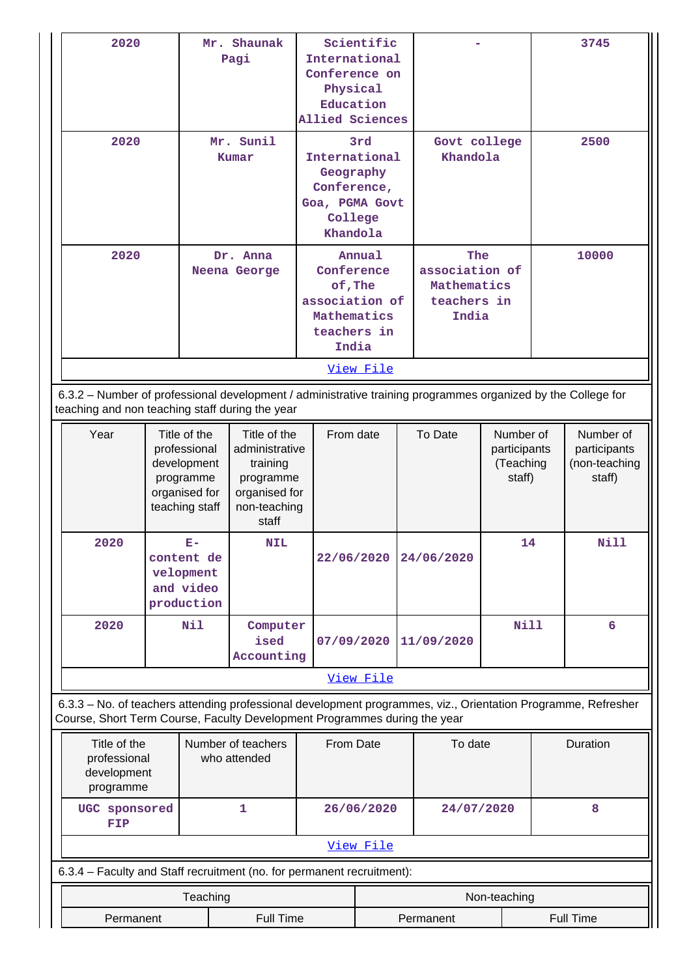| 2020                                                                   |                                                                                                                                                                                            |                                                                                                          | Mr. Shaunak<br>Pagi                                                                               |                                                                                | Scientific<br>International<br>Conference on<br>Physical<br>Education<br>Allied Sciences |                          |                                                              |                                                  |      | 3745                                                 |  |       |
|------------------------------------------------------------------------|--------------------------------------------------------------------------------------------------------------------------------------------------------------------------------------------|----------------------------------------------------------------------------------------------------------|---------------------------------------------------------------------------------------------------|--------------------------------------------------------------------------------|------------------------------------------------------------------------------------------|--------------------------|--------------------------------------------------------------|--------------------------------------------------|------|------------------------------------------------------|--|-------|
| 2020                                                                   |                                                                                                                                                                                            | Mr. Sunil<br>International<br>Kumar<br>Geography<br>Conference,<br>Goa, PGMA Govt<br>College<br>Khandola |                                                                                                   | 3rd                                                                            |                                                                                          | Govt college<br>Khandola |                                                              |                                                  | 2500 |                                                      |  |       |
| 2020                                                                   |                                                                                                                                                                                            |                                                                                                          | Dr. Anna<br>Neena George                                                                          | Conference<br>of, The<br>association of<br>Mathematics<br>teachers in<br>India | Annual                                                                                   |                          | The<br>association of<br>Mathematics<br>teachers in<br>India |                                                  |      |                                                      |  | 10000 |
|                                                                        |                                                                                                                                                                                            |                                                                                                          |                                                                                                   |                                                                                | View File                                                                                |                          |                                                              |                                                  |      |                                                      |  |       |
|                                                                        | 6.3.2 - Number of professional development / administrative training programmes organized by the College for<br>teaching and non teaching staff during the year                            |                                                                                                          |                                                                                                   |                                                                                |                                                                                          |                          |                                                              |                                                  |      |                                                      |  |       |
| Year                                                                   | Title of the<br>professional<br>development<br>programme<br>organised for<br>teaching staff                                                                                                |                                                                                                          | Title of the<br>administrative<br>training<br>programme<br>organised for<br>non-teaching<br>staff | From date                                                                      |                                                                                          |                          | To Date                                                      | Number of<br>participants<br>(Teaching<br>staff) |      | Number of<br>participants<br>(non-teaching<br>staff) |  |       |
| 2020                                                                   | $E-$<br>content de<br>velopment<br>and video<br>production                                                                                                                                 |                                                                                                          | <b>NIL</b>                                                                                        |                                                                                |                                                                                          |                          | 22/06/2020 24/06/2020                                        | 14                                               |      | Nill                                                 |  |       |
| 2020                                                                   |                                                                                                                                                                                            | Nil                                                                                                      | Computer<br>ised<br>Accounting                                                                    | 07/09/2020                                                                     |                                                                                          |                          | 11/09/2020                                                   | <b>Nill</b>                                      |      | 6                                                    |  |       |
|                                                                        |                                                                                                                                                                                            |                                                                                                          |                                                                                                   |                                                                                | View File                                                                                |                          |                                                              |                                                  |      |                                                      |  |       |
|                                                                        | 6.3.3 - No. of teachers attending professional development programmes, viz., Orientation Programme, Refresher<br>Course, Short Term Course, Faculty Development Programmes during the year |                                                                                                          |                                                                                                   |                                                                                |                                                                                          |                          |                                                              |                                                  |      |                                                      |  |       |
|                                                                        | Title of the<br>Number of teachers<br>From Date<br>professional<br>who attended<br>development<br>programme                                                                                |                                                                                                          |                                                                                                   |                                                                                | To date                                                                                  |                          |                                                              | Duration                                         |      |                                                      |  |       |
| FIP                                                                    | 1<br>UGC sponsored<br>26/06/2020                                                                                                                                                           |                                                                                                          | 24/07/2020                                                                                        |                                                                                |                                                                                          | 8                        |                                                              |                                                  |      |                                                      |  |       |
|                                                                        |                                                                                                                                                                                            |                                                                                                          |                                                                                                   |                                                                                | View File                                                                                |                          |                                                              |                                                  |      |                                                      |  |       |
| 6.3.4 – Faculty and Staff recruitment (no. for permanent recruitment): |                                                                                                                                                                                            |                                                                                                          |                                                                                                   |                                                                                |                                                                                          |                          |                                                              |                                                  |      |                                                      |  |       |
|                                                                        |                                                                                                                                                                                            | Teaching                                                                                                 |                                                                                                   |                                                                                |                                                                                          |                          |                                                              | Non-teaching                                     |      |                                                      |  |       |
| Permanent                                                              |                                                                                                                                                                                            |                                                                                                          | Full Time                                                                                         |                                                                                | Permanent<br><b>Full Time</b>                                                            |                          |                                                              |                                                  |      |                                                      |  |       |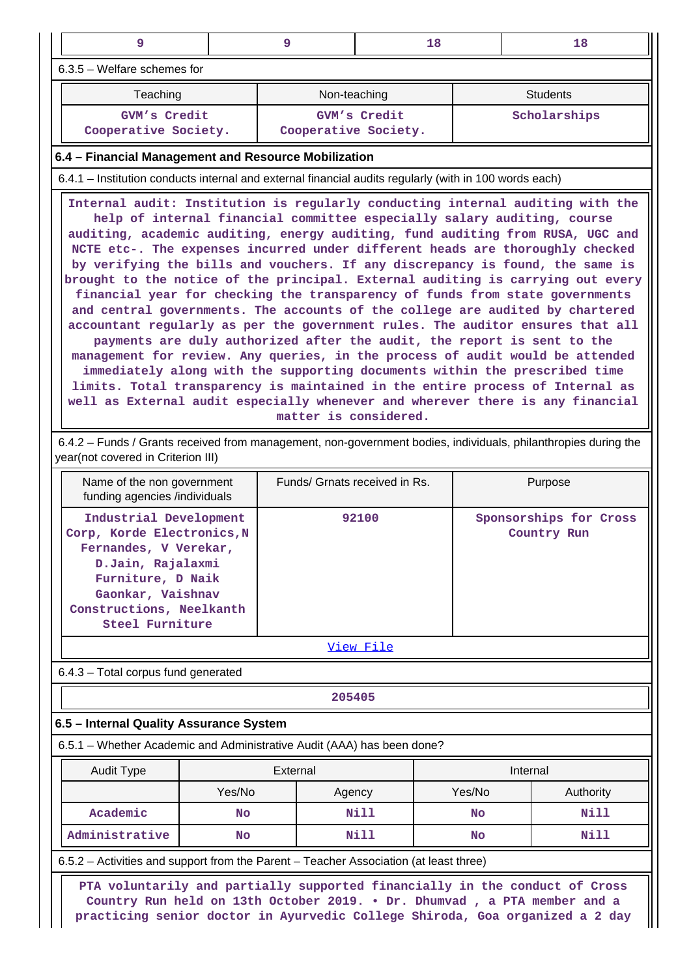| $\overline{9}$                                                                                                                                                                                                                                                                                                                                                                                                                                                                                                                                                                                                                                                                                                                                                                                                                                                                                                                                                                                                                                                                                                                                                                            |                                                                                                                                                                                                                                               | 9                             | 18           |           | 18                                                                                                             |  |  |  |  |
|-------------------------------------------------------------------------------------------------------------------------------------------------------------------------------------------------------------------------------------------------------------------------------------------------------------------------------------------------------------------------------------------------------------------------------------------------------------------------------------------------------------------------------------------------------------------------------------------------------------------------------------------------------------------------------------------------------------------------------------------------------------------------------------------------------------------------------------------------------------------------------------------------------------------------------------------------------------------------------------------------------------------------------------------------------------------------------------------------------------------------------------------------------------------------------------------|-----------------------------------------------------------------------------------------------------------------------------------------------------------------------------------------------------------------------------------------------|-------------------------------|--------------|-----------|----------------------------------------------------------------------------------------------------------------|--|--|--|--|
| 6.3.5 - Welfare schemes for                                                                                                                                                                                                                                                                                                                                                                                                                                                                                                                                                                                                                                                                                                                                                                                                                                                                                                                                                                                                                                                                                                                                                               |                                                                                                                                                                                                                                               |                               |              |           |                                                                                                                |  |  |  |  |
| Teaching<br>Non-teaching<br><b>Students</b>                                                                                                                                                                                                                                                                                                                                                                                                                                                                                                                                                                                                                                                                                                                                                                                                                                                                                                                                                                                                                                                                                                                                               |                                                                                                                                                                                                                                               |                               |              |           |                                                                                                                |  |  |  |  |
| GVM's Credit                                                                                                                                                                                                                                                                                                                                                                                                                                                                                                                                                                                                                                                                                                                                                                                                                                                                                                                                                                                                                                                                                                                                                                              |                                                                                                                                                                                                                                               |                               | GVM's Credit |           | Scholarships                                                                                                   |  |  |  |  |
| Cooperative Society.                                                                                                                                                                                                                                                                                                                                                                                                                                                                                                                                                                                                                                                                                                                                                                                                                                                                                                                                                                                                                                                                                                                                                                      |                                                                                                                                                                                                                                               | Cooperative Society.          |              |           |                                                                                                                |  |  |  |  |
| 6.4 - Financial Management and Resource Mobilization                                                                                                                                                                                                                                                                                                                                                                                                                                                                                                                                                                                                                                                                                                                                                                                                                                                                                                                                                                                                                                                                                                                                      |                                                                                                                                                                                                                                               |                               |              |           |                                                                                                                |  |  |  |  |
| 6.4.1 – Institution conducts internal and external financial audits regularly (with in 100 words each)                                                                                                                                                                                                                                                                                                                                                                                                                                                                                                                                                                                                                                                                                                                                                                                                                                                                                                                                                                                                                                                                                    |                                                                                                                                                                                                                                               |                               |              |           |                                                                                                                |  |  |  |  |
| Internal audit: Institution is regularly conducting internal auditing with the<br>help of internal financial committee especially salary auditing, course<br>auditing, academic auditing, energy auditing, fund auditing from RUSA, UGC and<br>NCTE etc-. The expenses incurred under different heads are thoroughly checked<br>by verifying the bills and vouchers. If any discrepancy is found, the same is<br>brought to the notice of the principal. External auditing is carrying out every<br>financial year for checking the transparency of funds from state governments<br>and central governments. The accounts of the college are audited by chartered<br>accountant regularly as per the government rules. The auditor ensures that all<br>payments are duly authorized after the audit, the report is sent to the<br>management for review. Any queries, in the process of audit would be attended<br>immediately along with the supporting documents within the prescribed time<br>limits. Total transparency is maintained in the entire process of Internal as<br>well as External audit especially whenever and wherever there is any financial<br>matter is considered. |                                                                                                                                                                                                                                               |                               |              |           |                                                                                                                |  |  |  |  |
| year(not covered in Criterion III)                                                                                                                                                                                                                                                                                                                                                                                                                                                                                                                                                                                                                                                                                                                                                                                                                                                                                                                                                                                                                                                                                                                                                        |                                                                                                                                                                                                                                               |                               |              |           | 6.4.2 – Funds / Grants received from management, non-government bodies, individuals, philanthropies during the |  |  |  |  |
| Name of the non government<br>funding agencies /individuals                                                                                                                                                                                                                                                                                                                                                                                                                                                                                                                                                                                                                                                                                                                                                                                                                                                                                                                                                                                                                                                                                                                               |                                                                                                                                                                                                                                               | Funds/ Grnats received in Rs. |              |           | Purpose                                                                                                        |  |  |  |  |
|                                                                                                                                                                                                                                                                                                                                                                                                                                                                                                                                                                                                                                                                                                                                                                                                                                                                                                                                                                                                                                                                                                                                                                                           | Industrial Development<br>92100<br>Sponsorships for Cross<br>Corp, Korde Electronics, N<br>Country Run<br>Fernandes, V Verekar,<br>D.Jain, Rajalaxmi<br>Furniture, D Naik<br>Gaonkar, Vaishnav<br>Constructions, Neelkanth<br>Steel Furniture |                               |              |           |                                                                                                                |  |  |  |  |
|                                                                                                                                                                                                                                                                                                                                                                                                                                                                                                                                                                                                                                                                                                                                                                                                                                                                                                                                                                                                                                                                                                                                                                                           |                                                                                                                                                                                                                                               |                               | View File    |           |                                                                                                                |  |  |  |  |
| 6.4.3 - Total corpus fund generated                                                                                                                                                                                                                                                                                                                                                                                                                                                                                                                                                                                                                                                                                                                                                                                                                                                                                                                                                                                                                                                                                                                                                       |                                                                                                                                                                                                                                               |                               |              |           |                                                                                                                |  |  |  |  |
|                                                                                                                                                                                                                                                                                                                                                                                                                                                                                                                                                                                                                                                                                                                                                                                                                                                                                                                                                                                                                                                                                                                                                                                           |                                                                                                                                                                                                                                               | 205405                        |              |           |                                                                                                                |  |  |  |  |
| 6.5 - Internal Quality Assurance System                                                                                                                                                                                                                                                                                                                                                                                                                                                                                                                                                                                                                                                                                                                                                                                                                                                                                                                                                                                                                                                                                                                                                   |                                                                                                                                                                                                                                               |                               |              |           |                                                                                                                |  |  |  |  |
| 6.5.1 – Whether Academic and Administrative Audit (AAA) has been done?                                                                                                                                                                                                                                                                                                                                                                                                                                                                                                                                                                                                                                                                                                                                                                                                                                                                                                                                                                                                                                                                                                                    |                                                                                                                                                                                                                                               |                               |              |           |                                                                                                                |  |  |  |  |
| <b>Audit Type</b>                                                                                                                                                                                                                                                                                                                                                                                                                                                                                                                                                                                                                                                                                                                                                                                                                                                                                                                                                                                                                                                                                                                                                                         |                                                                                                                                                                                                                                               | External                      |              |           | Internal                                                                                                       |  |  |  |  |
|                                                                                                                                                                                                                                                                                                                                                                                                                                                                                                                                                                                                                                                                                                                                                                                                                                                                                                                                                                                                                                                                                                                                                                                           | Yes/No                                                                                                                                                                                                                                        | Agency                        |              | Yes/No    | Authority                                                                                                      |  |  |  |  |
| Academic                                                                                                                                                                                                                                                                                                                                                                                                                                                                                                                                                                                                                                                                                                                                                                                                                                                                                                                                                                                                                                                                                                                                                                                  | No                                                                                                                                                                                                                                            |                               | Nill         | <b>No</b> | Nill                                                                                                           |  |  |  |  |
| Administrative                                                                                                                                                                                                                                                                                                                                                                                                                                                                                                                                                                                                                                                                                                                                                                                                                                                                                                                                                                                                                                                                                                                                                                            | No                                                                                                                                                                                                                                            | Nill<br>Nill<br>No            |              |           |                                                                                                                |  |  |  |  |
| 6.5.2 - Activities and support from the Parent - Teacher Association (at least three)                                                                                                                                                                                                                                                                                                                                                                                                                                                                                                                                                                                                                                                                                                                                                                                                                                                                                                                                                                                                                                                                                                     |                                                                                                                                                                                                                                               |                               |              |           |                                                                                                                |  |  |  |  |
| PTA voluntarily and partially supported financially in the conduct of Cross<br>Country Run held on 13th October 2019. . Dr. Dhumvad , a PTA member and a                                                                                                                                                                                                                                                                                                                                                                                                                                                                                                                                                                                                                                                                                                                                                                                                                                                                                                                                                                                                                                  |                                                                                                                                                                                                                                               |                               |              |           |                                                                                                                |  |  |  |  |

**practicing senior doctor in Ayurvedic College Shiroda, Goa organized a 2 day**

 $\parallel$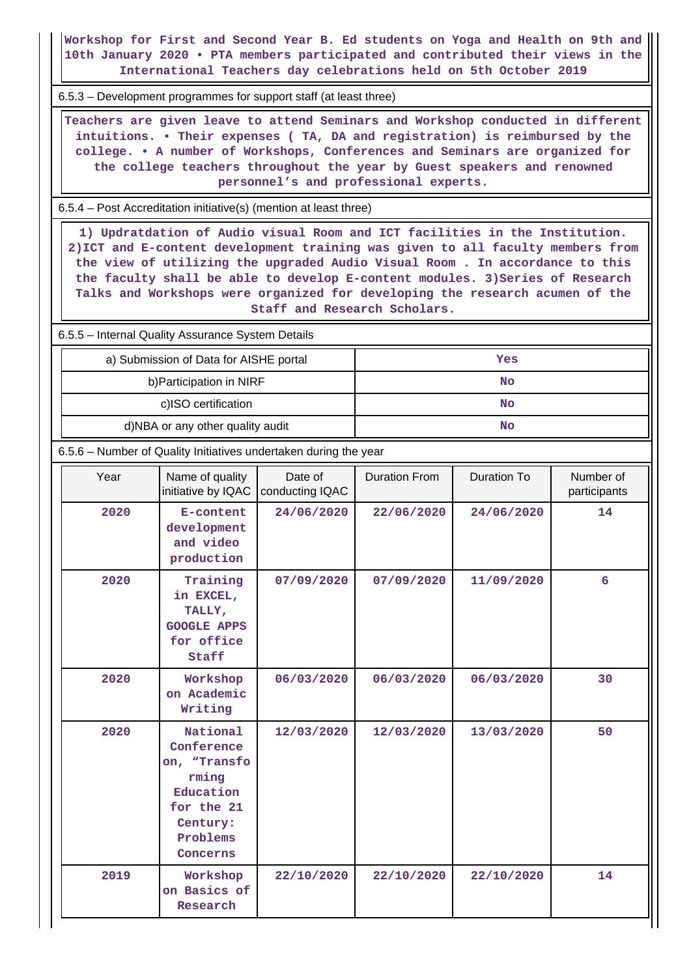**Workshop for First and Second Year B. Ed students on Yoga and Health on 9th and 10th January 2020 • PTA members participated and contributed their views in the International Teachers day celebrations held on 5th October 2019**

6.5.3 – Development programmes for support staff (at least three)

 **Teachers are given leave to attend Seminars and Workshop conducted in different intuitions. • Their expenses ( TA, DA and registration) is reimbursed by the college. • A number of Workshops, Conferences and Seminars are organized for the college teachers throughout the year by Guest speakers and renowned personnel's and professional experts.**

6.5.4 – Post Accreditation initiative(s) (mention at least three)

 **1) Updratdation of Audio visual Room and ICT facilities in the Institution. 2)ICT and E-content development training was given to all faculty members from the view of utilizing the upgraded Audio Visual Room . In accordance to this the faculty shall be able to develop E-content modules. 3)Series of Research Talks and Workshops were organized for developing the research acumen of the Staff and Research Scholars.**

6.5.5 – Internal Quality Assurance System Details

| a) Submission of Data for AISHE portal | Yes |
|----------------------------------------|-----|
| b) Participation in NIRF               | No  |
| c)ISO certification                    | No  |
| d)NBA or any other quality audit       | No  |

6.5.6 – Number of Quality Initiatives undertaken during the year

| Year | Name of quality<br>initiative by IQAC                                                                          | Date of<br>conducting IQAC | <b>Duration From</b> | Duration To | Number of<br>participants |
|------|----------------------------------------------------------------------------------------------------------------|----------------------------|----------------------|-------------|---------------------------|
| 2020 | E-content<br>development<br>and video<br>production                                                            | 24/06/2020                 | 22/06/2020           | 24/06/2020  | 14                        |
| 2020 | Training<br>in EXCEL,<br>TALLY,<br><b>GOOGLE APPS</b><br>for office<br>Staff                                   | 07/09/2020                 | 07/09/2020           | 11/09/2020  | 6                         |
| 2020 | Workshop<br>on Academic<br>Writing                                                                             | 06/03/2020                 | 06/03/2020           | 06/03/2020  | 30                        |
| 2020 | National<br>Conference<br>on, "Transfo<br>rming<br>Education<br>for the 21<br>Century:<br>Problems<br>Concerns | 12/03/2020                 | 12/03/2020           | 13/03/2020  | 50                        |
| 2019 | Workshop<br>on Basics of<br>Research                                                                           | 22/10/2020                 | 22/10/2020           | 22/10/2020  | 14                        |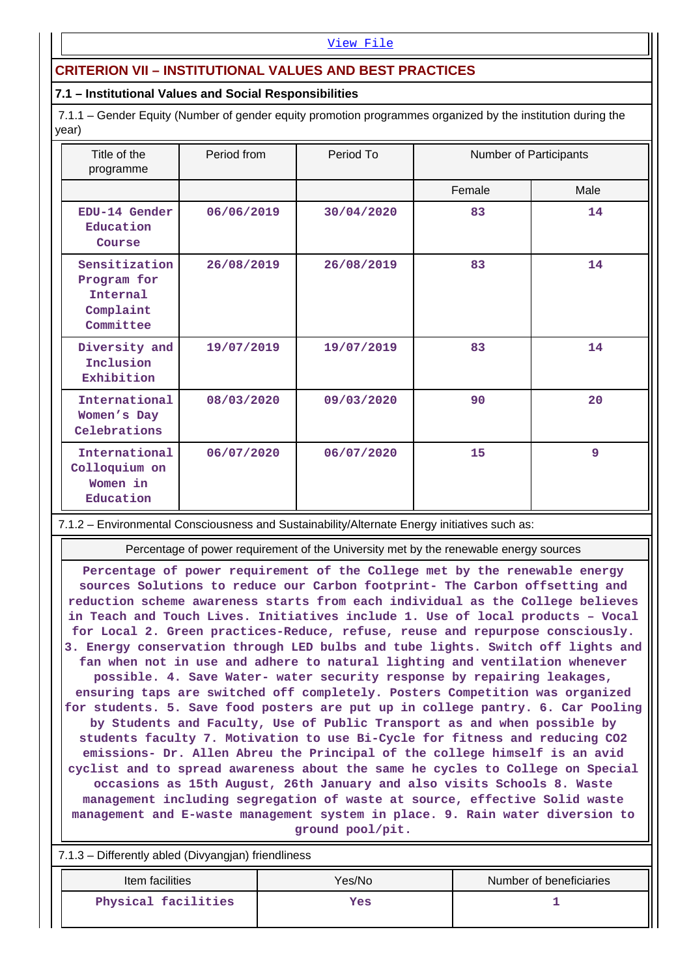#### [View File](https://assessmentonline.naac.gov.in/public/Postacc/Quality_Initiatives_B/13738_Quality_Initiatives_B_1635521220.xlsx)

# **CRITERION VII – INSTITUTIONAL VALUES AND BEST PRACTICES**

### **7.1 – Institutional Values and Social Responsibilities**

 7.1.1 – Gender Equity (Number of gender equity promotion programmes organized by the institution during the year)

| Title of the<br>programme                                          | Period from | Period To  | Number of Participants |      |
|--------------------------------------------------------------------|-------------|------------|------------------------|------|
|                                                                    |             |            | Female                 | Male |
| EDU-14 Gender<br>Education<br>Course                               | 06/06/2019  | 30/04/2020 | 83                     | 14   |
| Sensitization<br>Program for<br>Internal<br>Complaint<br>Committee | 26/08/2019  | 26/08/2019 | 83                     | 14   |
| Diversity and<br>Inclusion<br>Exhibition                           | 19/07/2019  | 19/07/2019 | 83                     | 14   |
| International<br>Women's Day<br>Celebrations                       | 08/03/2020  | 09/03/2020 | 90                     | 20   |
| International<br>Colloquium on<br>Women in<br>Education            | 06/07/2020  | 06/07/2020 | 15                     | 9    |

7.1.2 – Environmental Consciousness and Sustainability/Alternate Energy initiatives such as:

Percentage of power requirement of the University met by the renewable energy sources

**Percentage of power requirement of the College met by the renewable energy sources Solutions to reduce our Carbon footprint- The Carbon offsetting and reduction scheme awareness starts from each individual as the College believes in Teach and Touch Lives. Initiatives include 1. Use of local products – Vocal for Local 2. Green practices-Reduce, refuse, reuse and repurpose consciously. 3. Energy conservation through LED bulbs and tube lights. Switch off lights and fan when not in use and adhere to natural lighting and ventilation whenever possible. 4. Save Water- water security response by repairing leakages, ensuring taps are switched off completely. Posters Competition was organized for students. 5. Save food posters are put up in college pantry. 6. Car Pooling by Students and Faculty, Use of Public Transport as and when possible by students faculty 7. Motivation to use Bi-Cycle for fitness and reducing CO2 emissions- Dr. Allen Abreu the Principal of the college himself is an avid cyclist and to spread awareness about the same he cycles to College on Special occasions as 15th August, 26th January and also visits Schools 8. Waste management including segregation of waste at source, effective Solid waste management and E-waste management system in place. 9. Rain water diversion to ground pool/pit.**

7.1.3 – Differently abled (Divyangjan) friendliness

| Number of beneficiaries<br>Yes/No |
|-----------------------------------|
| Yes                               |
|                                   |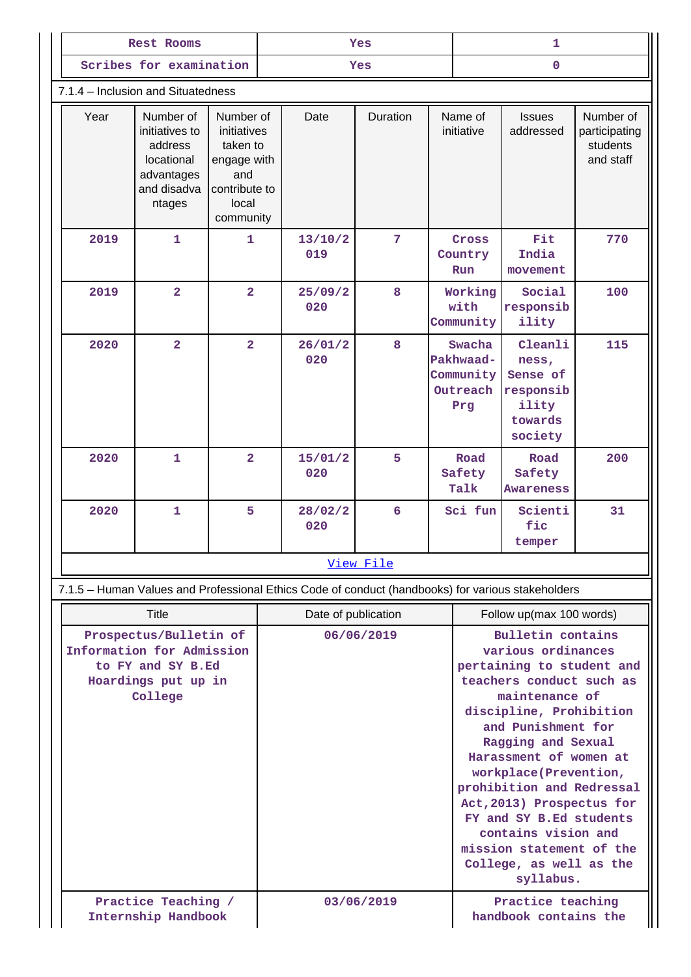| Rest Rooms                                                                                                 |                                                                                             | <b>Yes</b>                                                                                        |                     |                                                                                                   | 1         |                                                                                                                                                                                                                                                                                                                                                                                                                                     |                                                     |                                                                          |                                                     |
|------------------------------------------------------------------------------------------------------------|---------------------------------------------------------------------------------------------|---------------------------------------------------------------------------------------------------|---------------------|---------------------------------------------------------------------------------------------------|-----------|-------------------------------------------------------------------------------------------------------------------------------------------------------------------------------------------------------------------------------------------------------------------------------------------------------------------------------------------------------------------------------------------------------------------------------------|-----------------------------------------------------|--------------------------------------------------------------------------|-----------------------------------------------------|
|                                                                                                            | Scribes for examination                                                                     |                                                                                                   |                     | <b>Yes</b>                                                                                        |           | $\Omega$                                                                                                                                                                                                                                                                                                                                                                                                                            |                                                     |                                                                          |                                                     |
|                                                                                                            | 7.1.4 – Inclusion and Situatedness                                                          |                                                                                                   |                     |                                                                                                   |           |                                                                                                                                                                                                                                                                                                                                                                                                                                     |                                                     |                                                                          |                                                     |
| Year                                                                                                       | Number of<br>initiatives to<br>address<br>locational<br>advantages<br>and disadva<br>ntages | Number of<br>initiatives<br>taken to<br>engage with<br>and<br>contribute to<br>local<br>community |                     | Date                                                                                              | Duration  |                                                                                                                                                                                                                                                                                                                                                                                                                                     | Name of<br>initiative                               | <b>Issues</b><br>addressed                                               | Number of<br>participating<br>students<br>and staff |
| 2019                                                                                                       | $\mathbf{1}$                                                                                | 1                                                                                                 |                     | 13/10/2<br>019                                                                                    | 7         |                                                                                                                                                                                                                                                                                                                                                                                                                                     | Cross<br>Country<br>Run                             | Fit<br>India<br>movement                                                 | 770                                                 |
| 2019                                                                                                       | $\overline{2}$                                                                              | $\overline{a}$                                                                                    |                     | 25/09/2<br>020                                                                                    | 8         |                                                                                                                                                                                                                                                                                                                                                                                                                                     | Working<br>with<br>Community                        | Social<br>responsib<br>ility                                             | 100                                                 |
| 2020                                                                                                       | $\overline{2}$                                                                              | $\overline{2}$                                                                                    |                     | 26/01/2<br>020                                                                                    | 8         |                                                                                                                                                                                                                                                                                                                                                                                                                                     | Swacha<br>Pakhwaad-<br>Community<br>Outreach<br>Prg | Cleanli<br>ness,<br>Sense of<br>responsib<br>ility<br>towards<br>society | 115                                                 |
| 2020                                                                                                       | 1                                                                                           | $\overline{a}$                                                                                    |                     | 15/01/2<br>020                                                                                    | 5         |                                                                                                                                                                                                                                                                                                                                                                                                                                     | Road<br>Safety<br>Talk                              | Road<br>Safety<br><b>Awareness</b>                                       | 200                                                 |
| 2020                                                                                                       | $\mathbf{1}$                                                                                | 5                                                                                                 |                     | 28/02/2<br>020                                                                                    | 6         |                                                                                                                                                                                                                                                                                                                                                                                                                                     | Sci fun                                             | Scienti<br>fic<br>temper                                                 | 31                                                  |
|                                                                                                            |                                                                                             |                                                                                                   |                     |                                                                                                   | View File |                                                                                                                                                                                                                                                                                                                                                                                                                                     |                                                     |                                                                          |                                                     |
|                                                                                                            |                                                                                             |                                                                                                   |                     | 7.1.5 - Human Values and Professional Ethics Code of conduct (handbooks) for various stakeholders |           |                                                                                                                                                                                                                                                                                                                                                                                                                                     |                                                     |                                                                          |                                                     |
|                                                                                                            | Title                                                                                       |                                                                                                   | Date of publication |                                                                                                   |           | Follow up(max 100 words)                                                                                                                                                                                                                                                                                                                                                                                                            |                                                     |                                                                          |                                                     |
| Prospectus/Bulletin of<br>Information for Admission<br>to FY and SY B.Ed<br>Hoardings put up in<br>College |                                                                                             |                                                                                                   | 06/06/2019          |                                                                                                   |           | <b>Bulletin contains</b><br>various ordinances<br>pertaining to student and<br>teachers conduct such as<br>maintenance of<br>discipline, Prohibition<br>and Punishment for<br>Ragging and Sexual<br>Harassment of women at<br>workplace(Prevention,<br>prohibition and Redressal<br>Act, 2013) Prospectus for<br>FY and SY B.Ed students<br>contains vision and<br>mission statement of the<br>College, as well as the<br>syllabus. |                                                     |                                                                          |                                                     |
| Practice Teaching /<br>Internship Handbook                                                                 |                                                                                             |                                                                                                   | 03/06/2019          |                                                                                                   |           | Practice teaching<br>handbook contains the                                                                                                                                                                                                                                                                                                                                                                                          |                                                     |                                                                          |                                                     |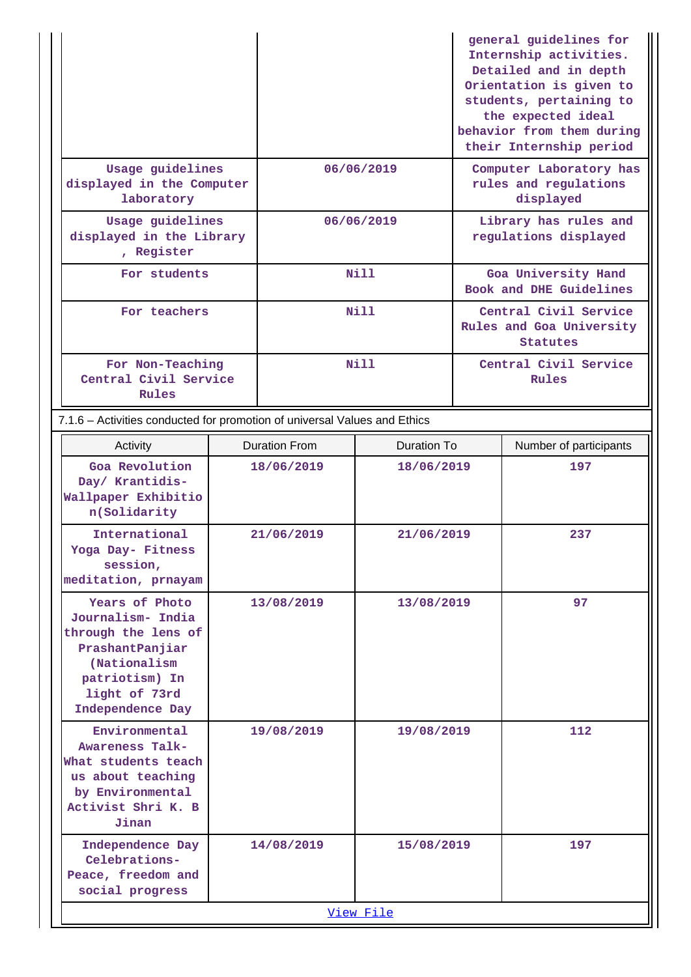|                                                                                                                                  |                                               |                      |                    |                                                                      | general guidelines for<br>Internship activities.<br>Detailed and in depth<br>Orientation is given to<br>students, pertaining to<br>the expected ideal<br>behavior from them during<br>their Internship period |  |
|----------------------------------------------------------------------------------------------------------------------------------|-----------------------------------------------|----------------------|--------------------|----------------------------------------------------------------------|---------------------------------------------------------------------------------------------------------------------------------------------------------------------------------------------------------------|--|
| laboratory                                                                                                                       | Usage guidelines<br>displayed in the Computer |                      | 06/06/2019         |                                                                      | Computer Laboratory has<br>rules and regulations<br>displayed                                                                                                                                                 |  |
| Usage guidelines<br>displayed in the Library<br>, Register                                                                       |                                               | 06/06/2019           |                    | Library has rules and<br>regulations displayed                       |                                                                                                                                                                                                               |  |
| For students                                                                                                                     |                                               | Nill                 |                    | Goa University Hand<br>Book and DHE Guidelines                       |                                                                                                                                                                                                               |  |
| For teachers                                                                                                                     |                                               | Nill                 |                    | Central Civil Service<br>Rules and Goa University<br><b>Statutes</b> |                                                                                                                                                                                                               |  |
| For Non-Teaching<br>Central Civil Service<br>Rules                                                                               |                                               | Nill                 |                    | Central Civil Service<br>Rules                                       |                                                                                                                                                                                                               |  |
| 7.1.6 - Activities conducted for promotion of universal Values and Ethics                                                        |                                               |                      |                    |                                                                      |                                                                                                                                                                                                               |  |
| Activity                                                                                                                         |                                               | <b>Duration From</b> | <b>Duration To</b> |                                                                      | Number of participants                                                                                                                                                                                        |  |
| Goa Revolution<br>Day/ Krantidis-<br>Wallpaper Exhibitio<br>n(Solidarity                                                         | 18/06/2019                                    |                      | 18/06/2019         |                                                                      | 197                                                                                                                                                                                                           |  |
| International<br>Yoga Day- Fitness<br>session,<br>meditation, prnayam                                                            | 21/06/2019                                    |                      | 21/06/2019         |                                                                      | 237                                                                                                                                                                                                           |  |
| Years of Photo<br>Journalism- India<br>through the lens of<br>PrashantPanjiar<br>(Nationalism<br>patriotism) In<br>light of 73rd | 13/08/2019                                    |                      | 13/08/2019         |                                                                      | 97                                                                                                                                                                                                            |  |

| light of 73rd<br>Independence Day                                                                                               |            |            |     |  |  |  |
|---------------------------------------------------------------------------------------------------------------------------------|------------|------------|-----|--|--|--|
| Environmental<br>Awareness Talk-<br>What students teach<br>us about teaching<br>by Environmental<br>Activist Shri K. B<br>Jinan | 19/08/2019 | 19/08/2019 | 112 |  |  |  |
| Independence Day<br>Celebrations-<br>Peace, freedom and<br>social progress                                                      | 14/08/2019 | 15/08/2019 | 197 |  |  |  |
| View File                                                                                                                       |            |            |     |  |  |  |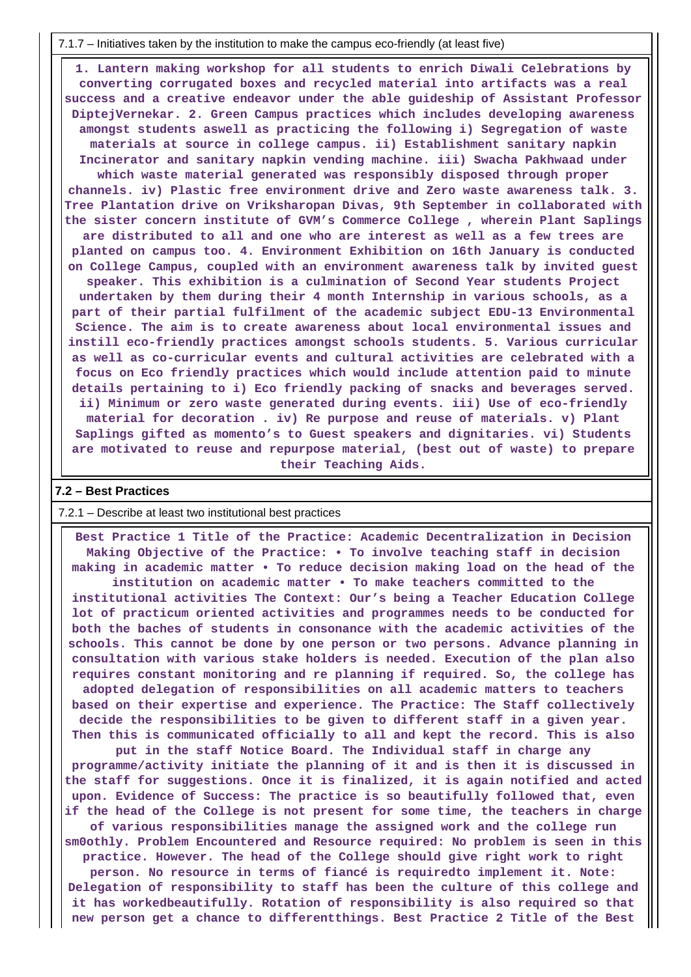7.1.7 – Initiatives taken by the institution to make the campus eco-friendly (at least five)

 **1. Lantern making workshop for all students to enrich Diwali Celebrations by converting corrugated boxes and recycled material into artifacts was a real success and a creative endeavor under the able guideship of Assistant Professor DiptejVernekar. 2. Green Campus practices which includes developing awareness amongst students aswell as practicing the following i) Segregation of waste materials at source in college campus. ii) Establishment sanitary napkin Incinerator and sanitary napkin vending machine. iii) Swacha Pakhwaad under which waste material generated was responsibly disposed through proper channels. iv) Plastic free environment drive and Zero waste awareness talk. 3. Tree Plantation drive on Vriksharopan Divas, 9th September in collaborated with the sister concern institute of GVM's Commerce College , wherein Plant Saplings are distributed to all and one who are interest as well as a few trees are planted on campus too. 4. Environment Exhibition on 16th January is conducted on College Campus, coupled with an environment awareness talk by invited guest speaker. This exhibition is a culmination of Second Year students Project undertaken by them during their 4 month Internship in various schools, as a part of their partial fulfilment of the academic subject EDU-13 Environmental Science. The aim is to create awareness about local environmental issues and instill eco-friendly practices amongst schools students. 5. Various curricular as well as co-curricular events and cultural activities are celebrated with a focus on Eco friendly practices which would include attention paid to minute details pertaining to i) Eco friendly packing of snacks and beverages served. ii) Minimum or zero waste generated during events. iii) Use of eco-friendly material for decoration . iv) Re purpose and reuse of materials. v) Plant Saplings gifted as momento's to Guest speakers and dignitaries. vi) Students are motivated to reuse and repurpose material, (best out of waste) to prepare their Teaching Aids.**

#### **7.2 – Best Practices**

#### 7.2.1 – Describe at least two institutional best practices

 **Best Practice 1 Title of the Practice: Academic Decentralization in Decision Making Objective of the Practice: • To involve teaching staff in decision making in academic matter • To reduce decision making load on the head of the institution on academic matter • To make teachers committed to the institutional activities The Context: Our's being a Teacher Education College lot of practicum oriented activities and programmes needs to be conducted for both the baches of students in consonance with the academic activities of the schools. This cannot be done by one person or two persons. Advance planning in consultation with various stake holders is needed. Execution of the plan also requires constant monitoring and re planning if required. So, the college has adopted delegation of responsibilities on all academic matters to teachers based on their expertise and experience. The Practice: The Staff collectively decide the responsibilities to be given to different staff in a given year. Then this is communicated officially to all and kept the record. This is also**

**put in the staff Notice Board. The Individual staff in charge any programme/activity initiate the planning of it and is then it is discussed in the staff for suggestions. Once it is finalized, it is again notified and acted upon. Evidence of Success: The practice is so beautifully followed that, even if the head of the College is not present for some time, the teachers in charge**

**of various responsibilities manage the assigned work and the college run sm0othly. Problem Encountered and Resource required: No problem is seen in this practice. However. The head of the College should give right work to right person. No resource in terms of fiancé is requiredto implement it. Note: Delegation of responsibility to staff has been the culture of this college and it has workedbeautifully. Rotation of responsibility is also required so that new person get a chance to differentthings. Best Practice 2 Title of the Best**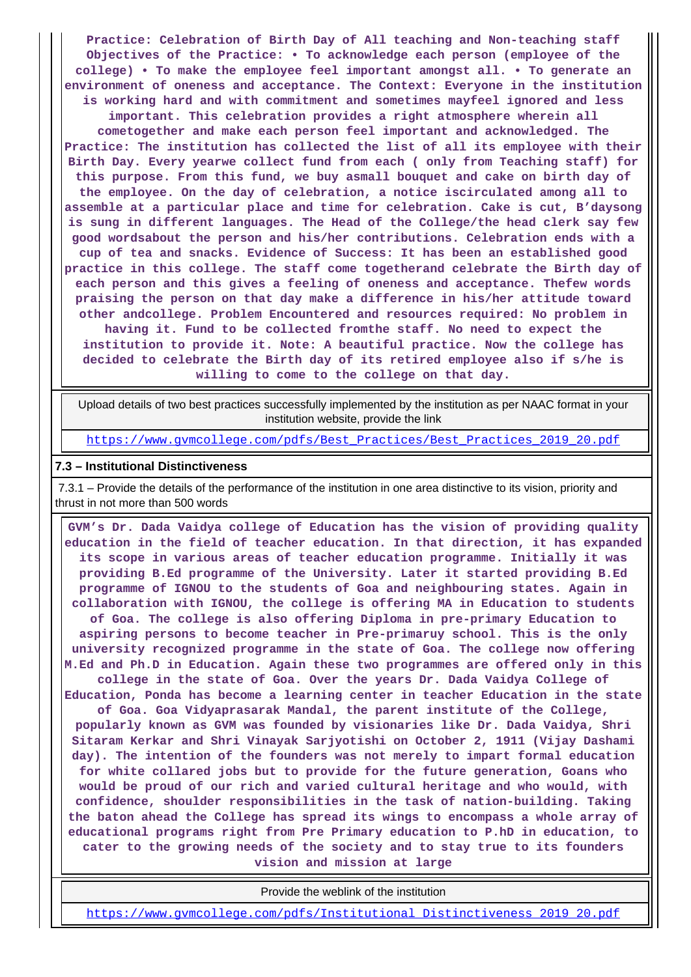**Practice: Celebration of Birth Day of All teaching and Non-teaching staff Objectives of the Practice: • To acknowledge each person (employee of the college) • To make the employee feel important amongst all. • To generate an environment of oneness and acceptance. The Context: Everyone in the institution is working hard and with commitment and sometimes mayfeel ignored and less important. This celebration provides a right atmosphere wherein all cometogether and make each person feel important and acknowledged. The Practice: The institution has collected the list of all its employee with their Birth Day. Every yearwe collect fund from each ( only from Teaching staff) for this purpose. From this fund, we buy asmall bouquet and cake on birth day of the employee. On the day of celebration, a notice iscirculated among all to assemble at a particular place and time for celebration. Cake is cut, B'daysong is sung in different languages. The Head of the College/the head clerk say few good wordsabout the person and his/her contributions. Celebration ends with a cup of tea and snacks. Evidence of Success: It has been an established good practice in this college. The staff come togetherand celebrate the Birth day of each person and this gives a feeling of oneness and acceptance. Thefew words praising the person on that day make a difference in his/her attitude toward other andcollege. Problem Encountered and resources required: No problem in having it. Fund to be collected fromthe staff. No need to expect the institution to provide it. Note: A beautiful practice. Now the college has decided to celebrate the Birth day of its retired employee also if s/he is willing to come to the college on that day.**

 Upload details of two best practices successfully implemented by the institution as per NAAC format in your institution website, provide the link

[https://www.gvmcollege.com/pdfs/Best\\_Practices/Best\\_Practices\\_2019\\_20.pdf](https://www.gvmcollege.com/pdfs/Best_Practices/Best_Practices_2019_20.pdf)

#### **7.3 – Institutional Distinctiveness**

 7.3.1 – Provide the details of the performance of the institution in one area distinctive to its vision, priority and thrust in not more than 500 words

 **GVM's Dr. Dada Vaidya college of Education has the vision of providing quality education in the field of teacher education. In that direction, it has expanded its scope in various areas of teacher education programme. Initially it was providing B.Ed programme of the University. Later it started providing B.Ed programme of IGNOU to the students of Goa and neighbouring states. Again in collaboration with IGNOU, the college is offering MA in Education to students of Goa. The college is also offering Diploma in pre-primary Education to aspiring persons to become teacher in Pre-primaruy school. This is the only university recognized programme in the state of Goa. The college now offering M.Ed and Ph.D in Education. Again these two programmes are offered only in this college in the state of Goa. Over the years Dr. Dada Vaidya College of Education, Ponda has become a learning center in teacher Education in the state of Goa. Goa Vidyaprasarak Mandal, the parent institute of the College, popularly known as GVM was founded by visionaries like Dr. Dada Vaidya, Shri Sitaram Kerkar and Shri Vinayak Sarjyotishi on October 2, 1911 (Vijay Dashami day). The intention of the founders was not merely to impart formal education for white collared jobs but to provide for the future generation, Goans who would be proud of our rich and varied cultural heritage and who would, with confidence, shoulder responsibilities in the task of nation-building. Taking the baton ahead the College has spread its wings to encompass a whole array of educational programs right from Pre Primary education to P.hD in education, to cater to the growing needs of the society and to stay true to its founders vision and mission at large**

Provide the weblink of the institution

[https://www.gvmcollege.com/pdfs/Institutional\\_Distinctiveness\\_2019\\_20.pdf](https://www.gvmcollege.com/pdfs/Institutional_Distinctiveness_2019_20.pdf)